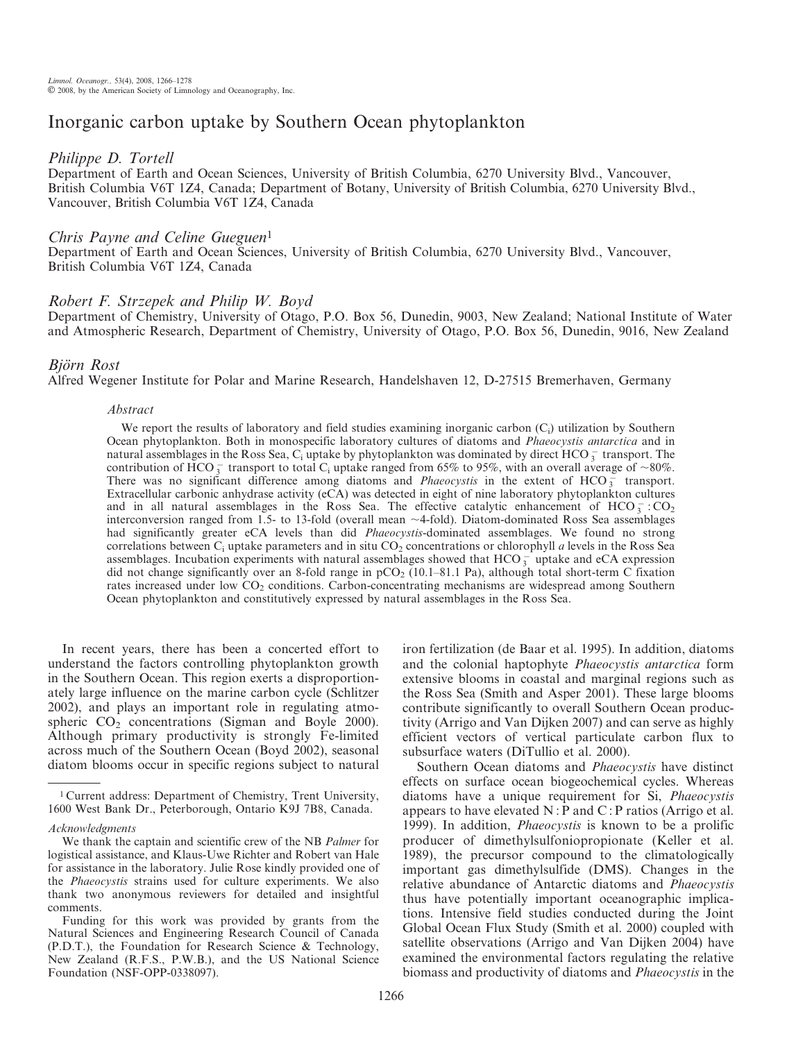# Inorganic carbon uptake by Southern Ocean phytoplankton

## Philippe D. Tortell

Department of Earth and Ocean Sciences, University of British Columbia, 6270 University Blvd., Vancouver, British Columbia V6T 1Z4, Canada; Department of Botany, University of British Columbia, 6270 University Blvd., Vancouver, British Columbia V6T 1Z4, Canada

# Chris Payne and Celine Gueguen<sup>1</sup>

Department of Earth and Ocean Sciences, University of British Columbia, 6270 University Blvd., Vancouver, British Columbia V6T 1Z4, Canada

# Robert F. Strzepek and Philip W. Boyd

Department of Chemistry, University of Otago, P.O. Box 56, Dunedin, 9003, New Zealand; National Institute of Water and Atmospheric Research, Department of Chemistry, University of Otago, P.O. Box 56, Dunedin, 9016, New Zealand

# Björn Rost

Alfred Wegener Institute for Polar and Marine Research, Handelshaven 12, D-27515 Bremerhaven, Germany

#### Abstract

We report the results of laboratory and field studies examining inorganic carbon  $(C_i)$  utilization by Southern Ocean phytoplankton. Both in monospecific laboratory cultures of diatoms and Phaeocystis antarctica and in natural assemblages in the Ross Sea,  $C_i$  uptake by phytoplankton was dominated by direct  $HCO^{-}_{3}$  transport. The contribution of  $\text{HCO}_3^-$  transport to total C<sub>i</sub> uptake ranged from 65% to 95%, with an overall average of ~80%. There was no significant difference among diatoms and *Phaeocystis* in the extent of  $HCO_3^-$  transport. Extracellular carbonic anhydrase activity (eCA) was detected in eight of nine laboratory phytoplankton cultures and in all natural assemblages in the Ross Sea. The effective catalytic enhancement of  $HCO_3^-$ :  $CO_2$ interconversion ranged from 1.5- to 13-fold (overall mean  $\sim$  4-fold). Diatom-dominated Ross Sea assemblages had significantly greater eCA levels than did Phaeocystis-dominated assemblages. We found no strong correlations between  $C_i$  uptake parameters and in situ  $CO_2$  concentrations or chlorophyll a levels in the Ross Sea assemblages. Incubation experiments with natural assemblages showed that  $HCO_3^-$  uptake and eCA expression did not change significantly over an 8-fold range in  $pCO<sub>2</sub>$  (10.1–81.1 Pa), although total short-term C fixation rates increased under low CO<sub>2</sub> conditions. Carbon-concentrating mechanisms are widespread among Southern Ocean phytoplankton and constitutively expressed by natural assemblages in the Ross Sea.

In recent years, there has been a concerted effort to understand the factors controlling phytoplankton growth in the Southern Ocean. This region exerts a disproportionately large influence on the marine carbon cycle (Schlitzer 2002), and plays an important role in regulating atmospheric  $CO<sub>2</sub>$  concentrations (Sigman and Boyle 2000). Although primary productivity is strongly Fe-limited across much of the Southern Ocean (Boyd 2002), seasonal diatom blooms occur in specific regions subject to natural iron fertilization (de Baar et al. 1995). In addition, diatoms and the colonial haptophyte Phaeocystis antarctica form extensive blooms in coastal and marginal regions such as the Ross Sea (Smith and Asper 2001). These large blooms contribute significantly to overall Southern Ocean productivity (Arrigo and Van Dijken 2007) and can serve as highly efficient vectors of vertical particulate carbon flux to subsurface waters (DiTullio et al. 2000).

Southern Ocean diatoms and Phaeocystis have distinct effects on surface ocean biogeochemical cycles. Whereas diatoms have a unique requirement for Si, Phaeocystis appears to have elevated  $N$ : P and  $C$ : P ratios (Arrigo et al. 1999). In addition, Phaeocystis is known to be a prolific producer of dimethylsulfoniopropionate (Keller et al. 1989), the precursor compound to the climatologically important gas dimethylsulfide (DMS). Changes in the relative abundance of Antarctic diatoms and Phaeocystis thus have potentially important oceanographic implications. Intensive field studies conducted during the Joint Global Ocean Flux Study (Smith et al. 2000) coupled with satellite observations (Arrigo and Van Dijken 2004) have examined the environmental factors regulating the relative biomass and productivity of diatoms and Phaeocystis in the

<sup>1</sup> Current address: Department of Chemistry, Trent University, 1600 West Bank Dr., Peterborough, Ontario K9J 7B8, Canada.

Acknowledgments

We thank the captain and scientific crew of the NB Palmer for logistical assistance, and Klaus-Uwe Richter and Robert van Hale for assistance in the laboratory. Julie Rose kindly provided one of the Phaeocystis strains used for culture experiments. We also thank two anonymous reviewers for detailed and insightful comments.

Funding for this work was provided by grants from the Natural Sciences and Engineering Research Council of Canada (P.D.T.), the Foundation for Research Science & Technology, New Zealand (R.F.S., P.W.B.), and the US National Science Foundation (NSF-OPP-0338097).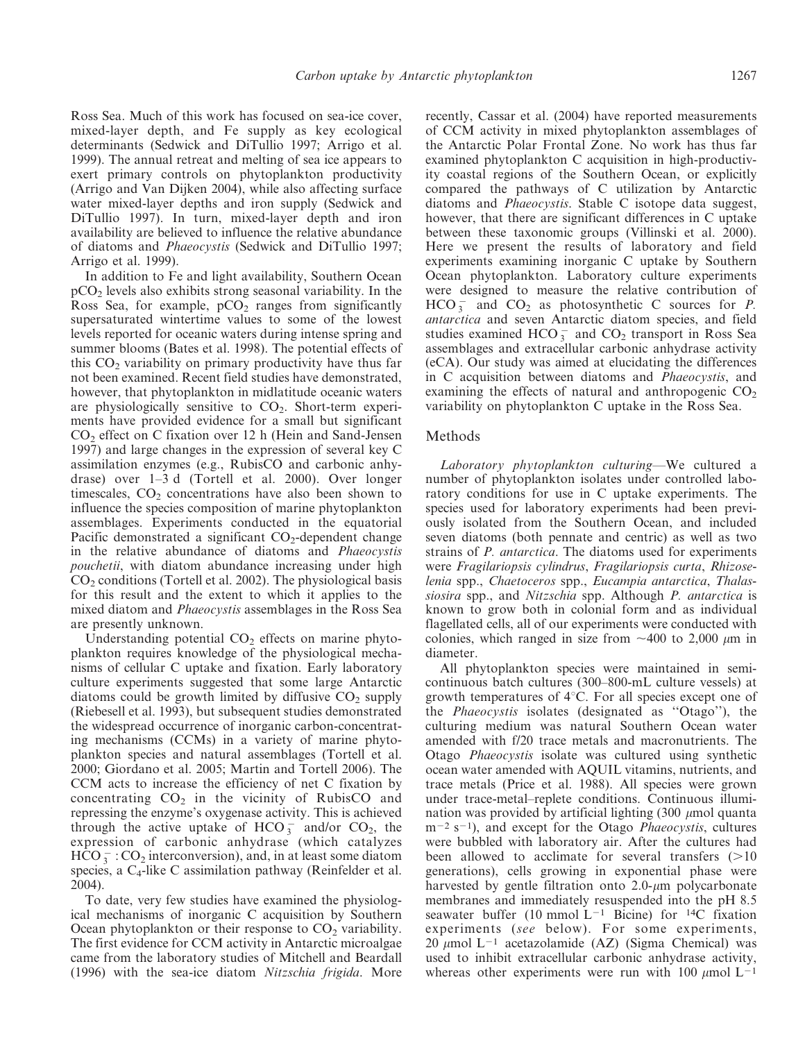Ross Sea. Much of this work has focused on sea-ice cover, mixed-layer depth, and Fe supply as key ecological determinants (Sedwick and DiTullio 1997; Arrigo et al. 1999). The annual retreat and melting of sea ice appears to exert primary controls on phytoplankton productivity (Arrigo and Van Dijken 2004), while also affecting surface water mixed-layer depths and iron supply (Sedwick and DiTullio 1997). In turn, mixed-layer depth and iron availability are believed to influence the relative abundance of diatoms and Phaeocystis (Sedwick and DiTullio 1997; Arrigo et al. 1999).

In addition to Fe and light availability, Southern Ocean  $pCO<sub>2</sub>$  levels also exhibits strong seasonal variability. In the Ross Sea, for example,  $pCO<sub>2</sub>$  ranges from significantly supersaturated wintertime values to some of the lowest levels reported for oceanic waters during intense spring and summer blooms (Bates et al. 1998). The potential effects of this  $CO<sub>2</sub>$  variability on primary productivity have thus far not been examined. Recent field studies have demonstrated, however, that phytoplankton in midlatitude oceanic waters are physiologically sensitive to  $CO<sub>2</sub>$ . Short-term experiments have provided evidence for a small but significant CO2 effect on C fixation over 12 h (Hein and Sand-Jensen 1997) and large changes in the expression of several key C assimilation enzymes (e.g., RubisCO and carbonic anhydrase) over 1–3 d (Tortell et al. 2000). Over longer timescales,  $CO<sub>2</sub>$  concentrations have also been shown to influence the species composition of marine phytoplankton assemblages. Experiments conducted in the equatorial Pacific demonstrated a significant  $CO<sub>2</sub>$ -dependent change in the relative abundance of diatoms and Phaeocystis pouchetii, with diatom abundance increasing under high  $CO<sub>2</sub>$  conditions (Tortell et al. 2002). The physiological basis for this result and the extent to which it applies to the mixed diatom and *Phaeocystis* assemblages in the Ross Sea are presently unknown.

Understanding potential  $CO<sub>2</sub>$  effects on marine phytoplankton requires knowledge of the physiological mechanisms of cellular C uptake and fixation. Early laboratory culture experiments suggested that some large Antarctic diatoms could be growth limited by diffusive  $CO<sub>2</sub>$  supply (Riebesell et al. 1993), but subsequent studies demonstrated the widespread occurrence of inorganic carbon-concentrating mechanisms (CCMs) in a variety of marine phytoplankton species and natural assemblages (Tortell et al. 2000; Giordano et al. 2005; Martin and Tortell 2006). The CCM acts to increase the efficiency of net C fixation by concentrating  $CO<sub>2</sub>$  in the vicinity of RubisCO and repressing the enzyme's oxygenase activity. This is achieved through the active uptake of HCO<sub>3</sub> and/or CO<sub>2</sub>, the expression of carbonic anhydrase (which catalyzes  $\text{HCO}_3^-$ : CO<sub>2</sub> interconversion), and, in at least some diatom species, a  $C_4$ -like C assimilation pathway (Reinfelder et al. 2004).

To date, very few studies have examined the physiological mechanisms of inorganic C acquisition by Southern Ocean phytoplankton or their response to  $CO<sub>2</sub>$  variability. The first evidence for CCM activity in Antarctic microalgae came from the laboratory studies of Mitchell and Beardall (1996) with the sea-ice diatom Nitzschia frigida. More

recently, Cassar et al. (2004) have reported measurements of CCM activity in mixed phytoplankton assemblages of the Antarctic Polar Frontal Zone. No work has thus far examined phytoplankton C acquisition in high-productivity coastal regions of the Southern Ocean, or explicitly compared the pathways of C utilization by Antarctic diatoms and Phaeocystis. Stable C isotope data suggest, however, that there are significant differences in C uptake between these taxonomic groups (Villinski et al. 2000). Here we present the results of laboratory and field experiments examining inorganic C uptake by Southern Ocean phytoplankton. Laboratory culture experiments were designed to measure the relative contribution of HCO $_3^-$  and CO<sub>2</sub> as photosynthetic C sources for *P*. antarctica and seven Antarctic diatom species, and field studies examined  $HCO_3^-$  and  $CO_2$  transport in Ross Sea assemblages and extracellular carbonic anhydrase activity (eCA). Our study was aimed at elucidating the differences in C acquisition between diatoms and Phaeocystis, and examining the effects of natural and anthropogenic  $CO<sub>2</sub>$ variability on phytoplankton C uptake in the Ross Sea.

#### Methods

Laboratory phytoplankton culturing—We cultured a number of phytoplankton isolates under controlled laboratory conditions for use in C uptake experiments. The species used for laboratory experiments had been previously isolated from the Southern Ocean, and included seven diatoms (both pennate and centric) as well as two strains of *P. antarctica*. The diatoms used for experiments were Fragilariopsis cylindrus, Fragilariopsis curta, Rhizoselenia spp., Chaetoceros spp., Eucampia antarctica, Thalassiosira spp., and Nitzschia spp. Although P. antarctica is known to grow both in colonial form and as individual flagellated cells, all of our experiments were conducted with colonies, which ranged in size from  $\sim$ 400 to 2,000  $\mu$ m in diameter.

All phytoplankton species were maintained in semicontinuous batch cultures (300–800-mL culture vessels) at growth temperatures of  $4^{\circ}$ C. For all species except one of the Phaeocystis isolates (designated as ''Otago''), the culturing medium was natural Southern Ocean water amended with f/20 trace metals and macronutrients. The Otago Phaeocystis isolate was cultured using synthetic ocean water amended with AQUIL vitamins, nutrients, and trace metals (Price et al. 1988). All species were grown under trace-metal–replete conditions. Continuous illumination was provided by artificial lighting  $(300 \mu \text{mol})$  quanta  $m^{-2}$  s<sup>-1</sup>), and except for the Otago *Phaeocystis*, cultures were bubbled with laboratory air. After the cultures had been allowed to acclimate for several transfers  $(>10$ generations), cells growing in exponential phase were harvested by gentle filtration onto  $2.0$ - $\mu$ m polycarbonate membranes and immediately resuspended into the pH 8.5 seawater buffer (10 mmol  $L^{-1}$  Bicine) for <sup>14</sup>C fixation experiments (see below). For some experiments, 20  $\mu$ mol L<sup>-1</sup> acetazolamide (AZ) (Sigma Chemical) was used to inhibit extracellular carbonic anhydrase activity, whereas other experiments were run with 100  $\mu$ mol L<sup>-1</sup>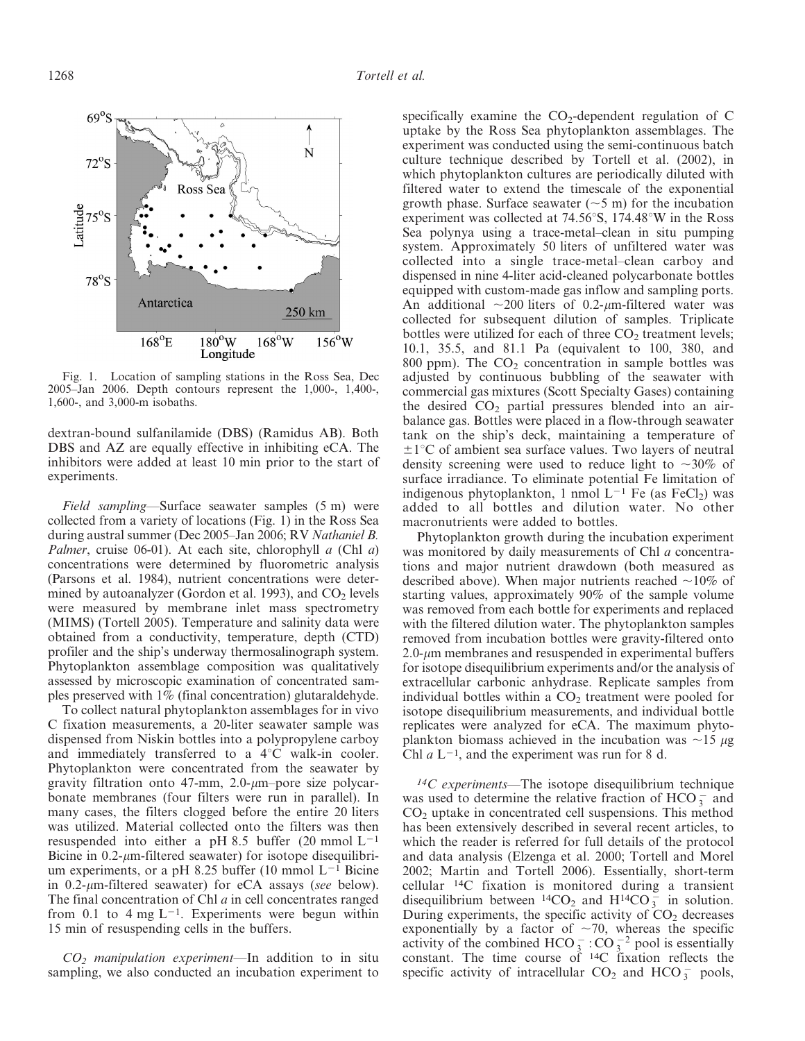Fig. 1. Location of sampling stations in the Ross Sea, Dec 2005–Jan 2006. Depth contours represent the 1,000-, 1,400-, 1,600-, and 3,000-m isobaths.

dextran-bound sulfanilamide (DBS) (Ramidus AB). Both DBS and AZ are equally effective in inhibiting eCA. The inhibitors were added at least 10 min prior to the start of experiments.

Field sampling—Surface seawater samples (5 m) were collected from a variety of locations (Fig. 1) in the Ross Sea during austral summer (Dec 2005–Jan 2006; RV Nathaniel B. Palmer, cruise 06-01). At each site, chlorophyll  $a$  (Chl  $a$ ) concentrations were determined by fluorometric analysis (Parsons et al. 1984), nutrient concentrations were determined by autoanalyzer (Gordon et al. 1993), and  $CO<sub>2</sub>$  levels were measured by membrane inlet mass spectrometry (MIMS) (Tortell 2005). Temperature and salinity data were obtained from a conductivity, temperature, depth (CTD) profiler and the ship's underway thermosalinograph system. Phytoplankton assemblage composition was qualitatively assessed by microscopic examination of concentrated samples preserved with 1% (final concentration) glutaraldehyde.

To collect natural phytoplankton assemblages for in vivo C fixation measurements, a 20-liter seawater sample was dispensed from Niskin bottles into a polypropylene carboy and immediately transferred to a  $4^{\circ}$ C walk-in cooler. Phytoplankton were concentrated from the seawater by gravity filtration onto 47-mm,  $2.0$ - $\mu$ m-pore size polycarbonate membranes (four filters were run in parallel). In many cases, the filters clogged before the entire 20 liters was utilized. Material collected onto the filters was then resuspended into either a pH 8.5 buffer (20 mmol  $L^{-1}$ Bicine in  $0.2$ - $\mu$ m-filtered seawater) for isotope disequilibrium experiments, or a pH 8.25 buffer (10 mmol  $L^{-1}$  Bicine in  $0.2$ - $\mu$ m-filtered seawater) for eCA assays (see below). The final concentration of Chl  $a$  in cell concentrates ranged from 0.1 to 4 mg  $L^{-1}$ . Experiments were begun within 15 min of resuspending cells in the buffers.

 $CO<sub>2</sub>$  manipulation experiment—In addition to in situ sampling, we also conducted an incubation experiment to

specifically examine the  $CO<sub>2</sub>$ -dependent regulation of C uptake by the Ross Sea phytoplankton assemblages. The experiment was conducted using the semi-continuous batch culture technique described by Tortell et al. (2002), in which phytoplankton cultures are periodically diluted with filtered water to extend the timescale of the exponential growth phase. Surface seawater  $(\sim 5 \text{ m})$  for the incubation experiment was collected at  $74.56^{\circ}$ S, 174.48°W in the Ross Sea polynya using a trace-metal–clean in situ pumping system. Approximately 50 liters of unfiltered water was collected into a single trace-metal–clean carboy and dispensed in nine 4-liter acid-cleaned polycarbonate bottles equipped with custom-made gas inflow and sampling ports. An additional  $\sim$ 200 liters of 0.2- $\mu$ m-filtered water was collected for subsequent dilution of samples. Triplicate bottles were utilized for each of three  $CO<sub>2</sub>$  treatment levels; 10.1, 35.5, and 81.1 Pa (equivalent to 100, 380, and 800 ppm). The  $CO<sub>2</sub>$  concentration in sample bottles was adjusted by continuous bubbling of the seawater with commercial gas mixtures (Scott Specialty Gases) containing the desired  $CO<sub>2</sub>$  partial pressures blended into an airbalance gas. Bottles were placed in a flow-through seawater tank on the ship's deck, maintaining a temperature of  $\pm 1^{\circ}$ C of ambient sea surface values. Two layers of neutral density screening were used to reduce light to  $\sim 30\%$  of surface irradiance. To eliminate potential Fe limitation of indigenous phytoplankton, 1 nmol  $L^{-1}$  Fe (as FeCl<sub>2</sub>) was added to all bottles and dilution water. No other macronutrients were added to bottles.

Phytoplankton growth during the incubation experiment was monitored by daily measurements of Chl *a* concentrations and major nutrient drawdown (both measured as described above). When major nutrients reached  $\sim$ 10% of starting values, approximately 90% of the sample volume was removed from each bottle for experiments and replaced with the filtered dilution water. The phytoplankton samples removed from incubation bottles were gravity-filtered onto  $2.0$ - $\mu$ m membranes and resuspended in experimental buffers for isotope disequilibrium experiments and/or the analysis of extracellular carbonic anhydrase. Replicate samples from individual bottles within a  $CO<sub>2</sub>$  treatment were pooled for isotope disequilibrium measurements, and individual bottle replicates were analyzed for eCA. The maximum phytoplankton biomass achieved in the incubation was  $\sim$ 15  $\mu$ g Chl  $a L^{-1}$ , and the experiment was run for 8 d.

 $14C$  experiments—The isotope disequilibrium technique was used to determine the relative fraction of HCO  $_3^-$  and  $CO<sub>2</sub>$  uptake in concentrated cell suspensions. This method has been extensively described in several recent articles, to which the reader is referred for full details of the protocol and data analysis (Elzenga et al. 2000; Tortell and Morel 2002; Martin and Tortell 2006). Essentially, short-term cellular 14C fixation is monitored during a transient disequilibrium between <sup>14</sup>CO<sub>2</sub> and H<sup>14</sup>CO<sub>3</sub> in solution. During experiments, the specific activity of  $CO<sub>2</sub>$  decreases exponentially by a factor of  $\sim$ 70, whereas the specific activity of the combined HCO  $_3^-$ : CO  $_3^{-2}$  pool is essentially constant. The time course of 14C fixation reflects the specific activity of intracellular  $CO_2$  and  $HCO_3^-$  pools,

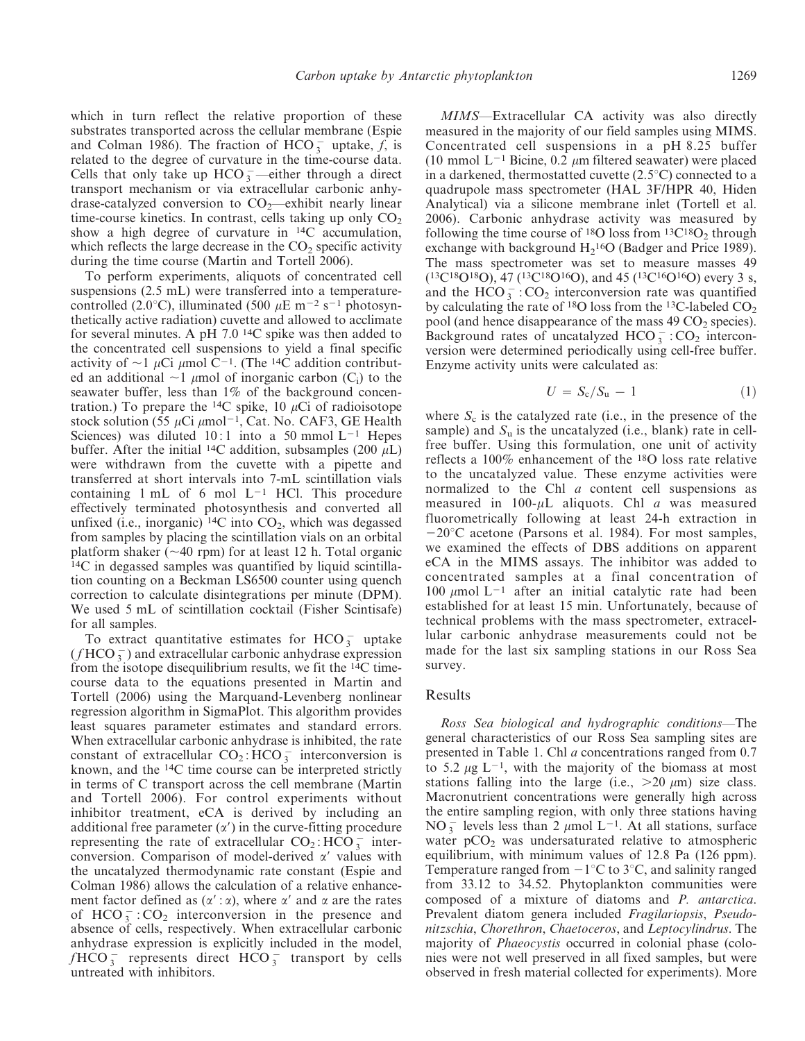which in turn reflect the relative proportion of these substrates transported across the cellular membrane (Espie and Colman 1986). The fraction of HCO  $\frac{1}{3}$  uptake,  $f$ , is related to the degree of curvature in the time-course data. Cells that only take up  $HCO_3^-$  -either through a direct transport mechanism or via extracellular carbonic anhydrase-catalyzed conversion to  $CO_2$ —exhibit nearly linear time-course kinetics. In contrast, cells taking up only  $CO<sub>2</sub>$ show a high degree of curvature in 14C accumulation, which reflects the large decrease in the  $CO<sub>2</sub>$  specific activity during the time course (Martin and Tortell 2006).

To perform experiments, aliquots of concentrated cell suspensions (2.5 mL) were transferred into a temperaturecontrolled (2.0<sup>o</sup>C), illuminated (500  $\mu$ E m<sup>-2</sup> s<sup>-1</sup> photosynthetically active radiation) cuvette and allowed to acclimate for several minutes. A pH 7.0 14C spike was then added to the concentrated cell suspensions to yield a final specific activity of  $\sim$ 1  $\mu$ Ci  $\mu$ mol C<sup>-1</sup>. (The <sup>14</sup>C addition contributed an additional  $\sim$ 1  $\mu$ mol of inorganic carbon (C<sub>i</sub>) to the seawater buffer, less than 1% of the background concentration.) To prepare the <sup>14</sup>C spike, 10  $\mu$ Ci of radioisotope stock solution (55  $\mu$ Ci  $\mu$ mol<sup>-1</sup>, Cat. No. CAF3, GE Health Sciences) was diluted 10:1 into a 50 mmol  $L^{-1}$  Hepes buffer. After the initial <sup>14</sup>C addition, subsamples (200  $\mu$ L) were withdrawn from the cuvette with a pipette and transferred at short intervals into 7-mL scintillation vials containing  $1 \text{ mL of } 6 \text{ mol } L^{-1}$  HCl. This procedure effectively terminated photosynthesis and converted all unfixed (i.e., inorganic)  $^{14}C$  into  $CO<sub>2</sub>$ , which was degassed from samples by placing the scintillation vials on an orbital platform shaker ( $\sim$ 40 rpm) for at least 12 h. Total organic 14C in degassed samples was quantified by liquid scintillation counting on a Beckman LS6500 counter using quench correction to calculate disintegrations per minute (DPM). We used 5 mL of scintillation cocktail (Fisher Scintisafe) for all samples.

To extract quantitative estimates for  $HCO_3^-$  uptake  $(f \text{HCO}_3^-)$  and extracellular carbonic anhydrase expression from the isotope disequilibrium results, we fit the 14C timecourse data to the equations presented in Martin and Tortell (2006) using the Marquand-Levenberg nonlinear regression algorithm in SigmaPlot. This algorithm provides least squares parameter estimates and standard errors. When extracellular carbonic anhydrase is inhibited, the rate constant of extracellular  $CO_2$ :  $HCO_3^-$  interconversion is known, and the 14C time course can be interpreted strictly in terms of C transport across the cell membrane (Martin and Tortell 2006). For control experiments without inhibitor treatment, eCA is derived by including an additional free parameter  $(\alpha')$  in the curve-fitting procedure representing the rate of extracellular  $CO_2$ :  $HCO_3^-$  interconversion. Comparison of model-derived  $\alpha'$  values with the uncatalyzed thermodynamic rate constant (Espie and Colman 1986) allows the calculation of a relative enhancement factor defined as  $(\alpha': \alpha)$ , where  $\alpha'$  and  $\alpha$  are the rates of  $HCO_3^-$ :  $CO_2$  interconversion in the presence and absence of cells, respectively. When extracellular carbonic anhydrase expression is explicitly included in the model,  $fHCO_3^-$  represents direct  $HCO_3^-$  transport by cells untreated with inhibitors.

MIMS—Extracellular CA activity was also directly measured in the majority of our field samples using MIMS. Concentrated cell suspensions in a pH 8.25 buffer (10 mmol  $L^{-1}$  Bicine, 0.2  $\mu$ m filtered seawater) were placed in a darkened, thermostatted cuvette  $(2.5^{\circ}C)$  connected to a quadrupole mass spectrometer (HAL 3F/HPR 40, Hiden Analytical) via a silicone membrane inlet (Tortell et al. 2006). Carbonic anhydrase activity was measured by following the time course of  $^{18}O$  loss from  $^{13}C^{18}O_2$  through exchange with background  $H_2$ <sup>16</sup>O (Badger and Price 1989). The mass spectrometer was set to measure masses 49 (13C18O18O), 47 (13C18O16O), and 45 (13C16O16O) every 3 s, and the  $\text{HCO}_3^-$ : CO<sub>2</sub> interconversion rate was quantified by calculating the rate of  $^{18}O$  loss from the  $^{13}C$ -labeled  $CO<sub>2</sub>$ pool (and hence disappearance of the mass  $49 \text{ CO}_2$  species). Background rates of uncatalyzed  $HCO_3^-$ :  $CO_2$  interconversion were determined periodically using cell-free buffer. Enzyme activity units were calculated as:

$$
U = S_c/S_u - 1 \tag{1}
$$

where  $S_c$  is the catalyzed rate (i.e., in the presence of the sample) and  $S_u$  is the uncatalyzed (i.e., blank) rate in cellfree buffer. Using this formulation, one unit of activity reflects a 100% enhancement of the 18O loss rate relative to the uncatalyzed value. These enzyme activities were normalized to the Chl *a* content cell suspensions as measured in 100- $\mu$ L aliquots. Chl *a* was measured fluorometrically following at least 24-h extraction in  $-20^{\circ}$ C acetone (Parsons et al. 1984). For most samples, we examined the effects of DBS additions on apparent eCA in the MIMS assays. The inhibitor was added to concentrated samples at a final concentration of 100  $\mu$ mol L<sup>-1</sup> after an initial catalytic rate had been established for at least 15 min. Unfortunately, because of technical problems with the mass spectrometer, extracellular carbonic anhydrase measurements could not be made for the last six sampling stations in our Ross Sea survey.

#### Results

Ross Sea biological and hydrographic conditions—The general characteristics of our Ross Sea sampling sites are presented in Table 1. Chl *a* concentrations ranged from 0.7 to 5.2  $\mu$ g L<sup>-1</sup>, with the majority of the biomass at most stations falling into the large (i.e.,  $>20 \mu m$ ) size class. Macronutrient concentrations were generally high across the entire sampling region, with only three stations having NO<sub>3</sub> levels less than 2  $\mu$ mol L<sup>-1</sup>. At all stations, surface water  $pCO<sub>2</sub>$  was undersaturated relative to atmospheric equilibrium, with minimum values of 12.8 Pa (126 ppm). Temperature ranged from  $-1^{\circ}C$  to 3<sup>o</sup>C, and salinity ranged from 33.12 to 34.52. Phytoplankton communities were composed of a mixture of diatoms and P. antarctica. Prevalent diatom genera included Fragilariopsis, Pseudonitzschia, Chorethron, Chaetoceros, and Leptocylindrus. The majority of *Phaeocystis* occurred in colonial phase (colonies were not well preserved in all fixed samples, but were observed in fresh material collected for experiments). More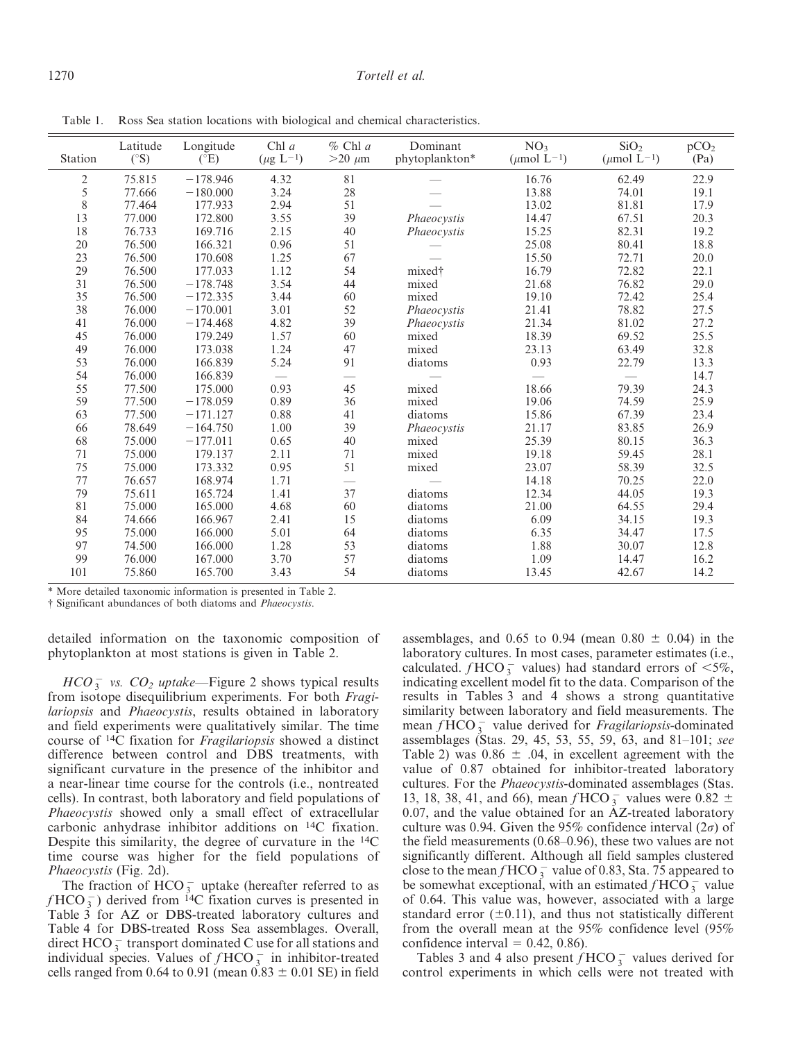### 1270 Tortell et al.

Table 1. Ross Sea station locations with biological and chemical characteristics.

| Station        | Latitude<br>$(^\circ S)$ | Longitude<br>$(^{\circ}E)$ | Chl $a$                  | $%$ Chl a<br>$>20 \mu m$ | Dominant<br>phytoplankton* | NO <sub>3</sub><br>( $\mu$ mol L <sup>-1</sup> ) | SiO <sub>2</sub><br>( $\mu$ mol L <sup>-1</sup> ) | pCO <sub>2</sub><br>(Pa) |
|----------------|--------------------------|----------------------------|--------------------------|--------------------------|----------------------------|--------------------------------------------------|---------------------------------------------------|--------------------------|
|                |                          |                            | $(\mu\mathrm{g~L^{-1}})$ |                          |                            |                                                  |                                                   |                          |
| $\overline{2}$ | 75.815                   | $-178.946$                 | 4.32                     | 81                       |                            | 16.76                                            | 62.49                                             | 22.9                     |
| 5              | 77.666                   | $-180,000$                 | 3.24                     | 28                       |                            | 13.88                                            | 74.01                                             | 19.1                     |
| 8              | 77.464                   | 177.933                    | 2.94                     | 51                       |                            | 13.02                                            | 81.81                                             | 17.9                     |
| 13             | 77.000                   | 172.800                    | 3.55                     | 39                       | Phaeocystis                | 14.47                                            | 67.51                                             | 20.3                     |
| 18             | 76.733                   | 169.716                    | 2.15                     | 40                       | Phaeocystis                | 15.25                                            | 82.31                                             | 19.2                     |
| 20             | 76.500                   | 166.321                    | 0.96                     | 51                       |                            | 25.08                                            | 80.41                                             | 18.8                     |
| 23             | 76.500                   | 170.608                    | 1.25                     | 67                       |                            | 15.50                                            | 72.71                                             | 20.0                     |
| 29             | 76.500                   | 177.033                    | 1.12                     | 54                       | mixed†                     | 16.79                                            | 72.82                                             | 22.1                     |
| 31             | 76.500                   | $-178.748$                 | 3.54                     | 44                       | mixed                      | 21.68                                            | 76.82                                             | 29.0                     |
| 35             | 76.500                   | $-172.335$                 | 3.44                     | 60                       | mixed                      | 19.10                                            | 72.42                                             | 25.4                     |
| 38             | 76.000                   | $-170.001$                 | 3.01                     | 52                       | Phaeocystis                | 21.41                                            | 78.82                                             | 27.5                     |
| 41             | 76.000                   | $-174.468$                 | 4.82                     | 39                       | Phaeocystis                | 21.34                                            | 81.02                                             | 27.2                     |
| 45             | 76.000                   | 179.249                    | 1.57                     | 60                       | mixed                      | 18.39                                            | 69.52                                             | 25.5                     |
| 49             | 76.000                   | 173.038                    | 1.24                     | 47                       | mixed                      | 23.13                                            | 63.49                                             | 32.8                     |
| 53             | 76.000                   | 166.839                    | 5.24                     | 91                       | diatoms                    | 0.93                                             | 22.79                                             | 13.3                     |
| 54             | 76.000                   | 166.839                    | $=$                      | $\overline{\phantom{0}}$ |                            |                                                  |                                                   | 14.7                     |
| 55             | 77.500                   | 175.000                    | 0.93                     | 45                       | mixed                      | 18.66                                            | 79.39                                             | 24.3                     |
| 59             | 77.500                   | $-178.059$                 | 0.89                     | 36                       | mixed                      | 19.06                                            | 74.59                                             | 25.9                     |
| 63             | 77.500                   | $-171.127$                 | 0.88                     | 41                       | diatoms                    | 15.86                                            | 67.39                                             | 23.4                     |
| 66             | 78.649                   | $-164.750$                 | 1.00                     | 39                       | Phaeocystis                | 21.17                                            | 83.85                                             | 26.9                     |
| 68             | 75.000                   | $-177.011$                 | 0.65                     | 40                       | mixed                      | 25.39                                            | 80.15                                             | 36.3                     |
| 71             | 75.000                   | 179.137                    | 2.11                     | 71                       | mixed                      | 19.18                                            | 59.45                                             | 28.1                     |
| 75             | 75.000                   | 173.332                    | 0.95                     | 51                       | mixed                      | 23.07                                            | 58.39                                             | 32.5                     |
| 77             | 76.657                   | 168.974                    | 1.71                     |                          |                            | 14.18                                            | 70.25                                             | 22.0                     |
| 79             | 75.611                   | 165.724                    | 1.41                     | 37                       | diatoms                    | 12.34                                            | 44.05                                             | 19.3                     |
| 81             | 75.000                   | 165.000                    | 4.68                     | 60                       | diatoms                    | 21.00                                            | 64.55                                             | 29.4                     |
| 84             | 74.666                   | 166.967                    | 2.41                     | 15                       | diatoms                    | 6.09                                             | 34.15                                             | 19.3                     |
| 95             | 75.000                   | 166.000                    | 5.01                     | 64                       | diatoms                    | 6.35                                             | 34.47                                             | 17.5                     |
| 97             | 74.500                   | 166.000                    | 1.28                     | 53                       | diatoms                    | 1.88                                             | 30.07                                             | 12.8                     |
| 99             | 76.000                   | 167.000                    | 3.70                     | 57                       | diatoms                    | 1.09                                             | 14.47                                             | 16.2                     |
| 101            | 75.860                   | 165.700                    | 3.43                     | 54                       | diatoms                    | 13.45                                            | 42.67                                             | 14.2                     |

\* More detailed taxonomic information is presented in Table 2.

{ Significant abundances of both diatoms and Phaeocystis.

detailed information on the taxonomic composition of phytoplankton at most stations is given in Table 2.

 $HCO_3^-$  vs.  $CO_2$  uptake—Figure 2 shows typical results from isotope disequilibrium experiments. For both Fragilariopsis and Phaeocystis, results obtained in laboratory and field experiments were qualitatively similar. The time course of 14C fixation for Fragilariopsis showed a distinct difference between control and DBS treatments, with significant curvature in the presence of the inhibitor and a near-linear time course for the controls (i.e., nontreated cells). In contrast, both laboratory and field populations of Phaeocystis showed only a small effect of extracellular carbonic anhydrase inhibitor additions on 14C fixation. Despite this similarity, the degree of curvature in the 14C time course was higher for the field populations of Phaeocystis (Fig. 2d).

The fraction of  $HCO_3^-$  uptake (hereafter referred to as  $f HCO_3^-$ ) derived from <sup>14</sup>C fixation curves is presented in Table 3 for AZ or DBS-treated laboratory cultures and Table 4 for DBS-treated Ross Sea assemblages. Overall, direct HCO $_3^-$  transport dominated C use for all stations and individual species. Values of  $f HCO_3^-$  in inhibitor-treated cells ranged from 0.64 to 0.91 (mean  $0.83 \pm 0.01$  SE) in field

assemblages, and 0.65 to 0.94 (mean 0.80  $\pm$  0.04) in the laboratory cultures. In most cases, parameter estimates (i.e., calculated.  $f HCO_3^-$  values) had standard errors of  $<5\%$ , indicating excellent model fit to the data. Comparison of the results in Tables 3 and 4 shows a strong quantitative similarity between laboratory and field measurements. The mean  $f$  HCO  $\frac{1}{3}$  value derived for *Fragilariopsis*-dominated assemblages (Stas. 29, 45, 53, 55, 59, 63, and 81–101; see Table 2) was  $0.86 \pm .04$ , in excellent agreement with the value of 0.87 obtained for inhibitor-treated laboratory cultures. For the Phaeocystis-dominated assemblages (Stas. 13, 18, 38, 41, and 66), mean  $f$  HCO  $\frac{1}{3}$  values were 0.82  $\pm$ 0.07, and the value obtained for an  $\text{AZ-treated laboratory}$ culture was 0.94. Given the 95% confidence interval  $(2\sigma)$  of the field measurements (0.68–0.96), these two values are not significantly different. Although all field samples clustered close to the mean  $f$  HCO  $_3^-$  value of 0.83, Sta. 75 appeared to be somewhat exceptional, with an estimated  $f HCO_3^-$  value of 0.64. This value was, however, associated with a large standard error  $(\pm 0.11)$ , and thus not statistically different from the overall mean at the 95% confidence level (95% confidence interval  $= 0.42, 0.86$ .

Tables 3 and 4 also present  $f \text{HCO}_3^-$  values derived for control experiments in which cells were not treated with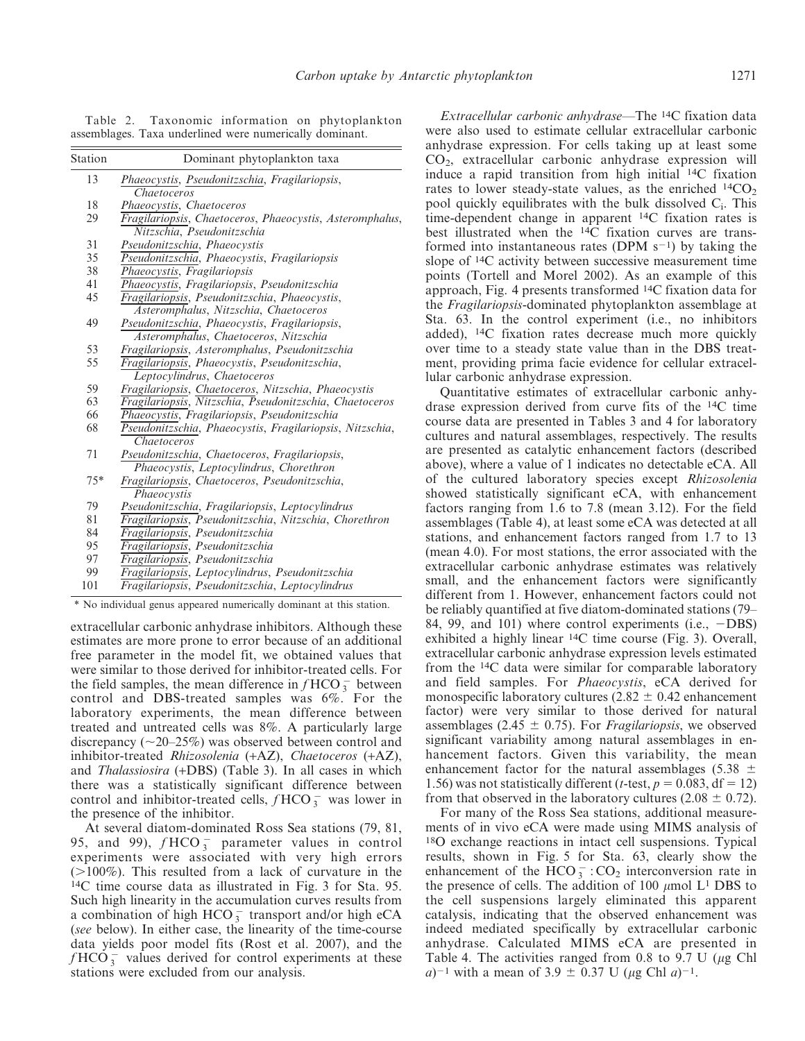Table 2. Taxonomic information on phytoplankton assemblages. Taxa underlined were numerically dominant.

| Station | Dominant phytoplankton taxa                                          |
|---------|----------------------------------------------------------------------|
| 13      | Phaeocystis, Pseudonitzschia, Fragilariopsis,                        |
|         | Chaetoceros                                                          |
| 18      | Phaeocystis, Chaetoceros                                             |
| 29      | Fragilariopsis, Chaetoceros, Phaeocystis, Asteromphalus,             |
|         | Nitzschia, Pseudonitzschia                                           |
| 31      | Pseudonitzschia, Phaeocystis                                         |
| 35      | Pseudonitzschia, Phaeocystis, Fragilariopsis                         |
| 38      | Phaeocystis, Fragilariopsis                                          |
| 41      | Phaeocystis, Fragilariopsis, Pseudonitzschia                         |
| 45      | Fragilariopsis, Pseudonitzschia, Phaeocystis,                        |
|         | Asteromphalus, Nitzschia, Chaetoceros                                |
| 49      | Pseudonitzschia, Phaeocystis, Fragilariopsis,                        |
|         | Asteromphalus, Chaetoceros, Nitzschia                                |
| 53      | Fragilariopsis, Asteromphalus, Pseudonitzschia                       |
| 55      | Fragilariopsis, Phaeocystis, Pseudonitzschia,                        |
|         | Leptocylindrus, Chaetoceros                                          |
| 59      | Fragilariopsis, Chaetoceros, Nitzschia, Phaeocystis                  |
| 63      | Fragilariopsis, Nitzschia, Pseudonitzschia, Chaetoceros              |
| 66      | Phaeocystis, Fragilariopsis, Pseudonitzschia                         |
| 68      | Pseudonitzschia, Phaeocystis, Fragilariopsis, Nitzschia,             |
|         | Chaetoceros                                                          |
| 71      | Pseudonitzschia, Chaetoceros, Fragilariopsis,                        |
|         | Phaeocystis, Leptocylindrus, Chorethron                              |
| $75*$   | Fragilariopsis, Chaetoceros, Pseudonitzschia,                        |
|         | Phaeocystis                                                          |
| 79      | Pseudonitzschia, Fragilariopsis, Leptocylindrus                      |
| 81      | Fragilariopsis, Pseudonitzschia, Nitzschia, Chorethron               |
| 84      | Fragilariopsis, Pseudonitzschia                                      |
| 95      | Fragilariopsis, Pseudonitzschia                                      |
| 97      | Fragilariopsis, Pseudonitzschia                                      |
| 99      | Fragilariopsis, Leptocylindrus, Pseudonitzschia                      |
| 101     | Fragilariopsis, Pseudonitzschia, Leptocylindrus                      |
|         | * No individual genus appeared numerically dominant at this station. |

extracellular carbonic anhydrase inhibitors. Although these estimates are more prone to error because of an additional free parameter in the model fit, we obtained values that were similar to those derived for inhibitor-treated cells. For the field samples, the mean difference in  $f HCO_3^-$  between control and DBS-treated samples was 6%. For the laboratory experiments, the mean difference between treated and untreated cells was 8%. A particularly large discrepancy ( $\sim$ 20–25%) was observed between control and inhibitor-treated Rhizosolenia (+AZ), Chaetoceros (+AZ), and Thalassiosira (+DBS) (Table 3). In all cases in which there was a statistically significant difference between control and inhibitor-treated cells,  $f HCO_3^-$  was lower in the presence of the inhibitor.

At several diatom-dominated Ross Sea stations (79, 81, 95, and 99),  $f HCO_3^-$  parameter values in control experiments were associated with very high errors  $(>100\%)$ . This resulted from a lack of curvature in the 14C time course data as illustrated in Fig. 3 for Sta. 95. Such high linearity in the accumulation curves results from a combination of high  $HCO_3^-$  transport and/or high eCA (see below). In either case, the linearity of the time-course data yields poor model fits (Rost et al. 2007), and the  $f$ HCO $\frac{1}{3}$  values derived for control experiments at these stations were excluded from our analysis.

Extracellular carbonic anhydrase—The 14C fixation data were also used to estimate cellular extracellular carbonic anhydrase expression. For cells taking up at least some  $CO<sub>2</sub>$ , extracellular carbonic anhydrase expression will induce a rapid transition from high initial 14C fixation rates to lower steady-state values, as the enriched  $^{14}CO<sub>2</sub>$ pool quickly equilibrates with the bulk dissolved  $C_i$ . This time-dependent change in apparent 14C fixation rates is best illustrated when the 14C fixation curves are transformed into instantaneous rates (DPM  $s^{-1}$ ) by taking the slope of 14C activity between successive measurement time points (Tortell and Morel 2002). As an example of this approach, Fig. 4 presents transformed 14C fixation data for the Fragilariopsis-dominated phytoplankton assemblage at Sta. 63. In the control experiment (i.e., no inhibitors added), 14C fixation rates decrease much more quickly over time to a steady state value than in the DBS treatment, providing prima facie evidence for cellular extracellular carbonic anhydrase expression.

Quantitative estimates of extracellular carbonic anhydrase expression derived from curve fits of the 14C time course data are presented in Tables 3 and 4 for laboratory cultures and natural assemblages, respectively. The results are presented as catalytic enhancement factors (described above), where a value of 1 indicates no detectable eCA. All of the cultured laboratory species except Rhizosolenia showed statistically significant eCA, with enhancement factors ranging from 1.6 to 7.8 (mean 3.12). For the field assemblages (Table 4), at least some eCA was detected at all stations, and enhancement factors ranged from 1.7 to 13 (mean 4.0). For most stations, the error associated with the extracellular carbonic anhydrase estimates was relatively small, and the enhancement factors were significantly different from 1. However, enhancement factors could not be reliably quantified at five diatom-dominated stations (79– 84, 99, and 101) where control experiments (i.e.,  $-DBS$ ) exhibited a highly linear 14C time course (Fig. 3). Overall, extracellular carbonic anhydrase expression levels estimated from the 14C data were similar for comparable laboratory and field samples. For Phaeocystis, eCA derived for monospecific laboratory cultures  $(2.82 \pm 0.42$  enhancement factor) were very similar to those derived for natural assemblages (2.45  $\pm$  0.75). For *Fragilariopsis*, we observed significant variability among natural assemblages in enhancement factors. Given this variability, the mean enhancement factor for the natural assemblages (5.38  $\pm$ 1.56) was not statistically different (*t*-test,  $p = 0.083$ , df = 12) from that observed in the laboratory cultures (2.08  $\pm$  0.72).

For many of the Ross Sea stations, additional measurements of in vivo eCA were made using MIMS analysis of 18O exchange reactions in intact cell suspensions. Typical results, shown in Fig. 5 for Sta. 63, clearly show the enhancement of the  $\text{HCO}_3^-$ : CO<sub>2</sub> interconversion rate in the presence of cells. The addition of 100  $\mu$ mol L<sup>1</sup> DBS to the cell suspensions largely eliminated this apparent catalysis, indicating that the observed enhancement was indeed mediated specifically by extracellular carbonic anhydrase. Calculated MIMS eCA are presented in Table 4. The activities ranged from 0.8 to 9.7 U ( $\mu$ g Chl  $a$ )<sup>-1</sup> with a mean of 3.9  $\pm$  0.37 U ( $\mu$ g Chl  $a$ )<sup>-1</sup>.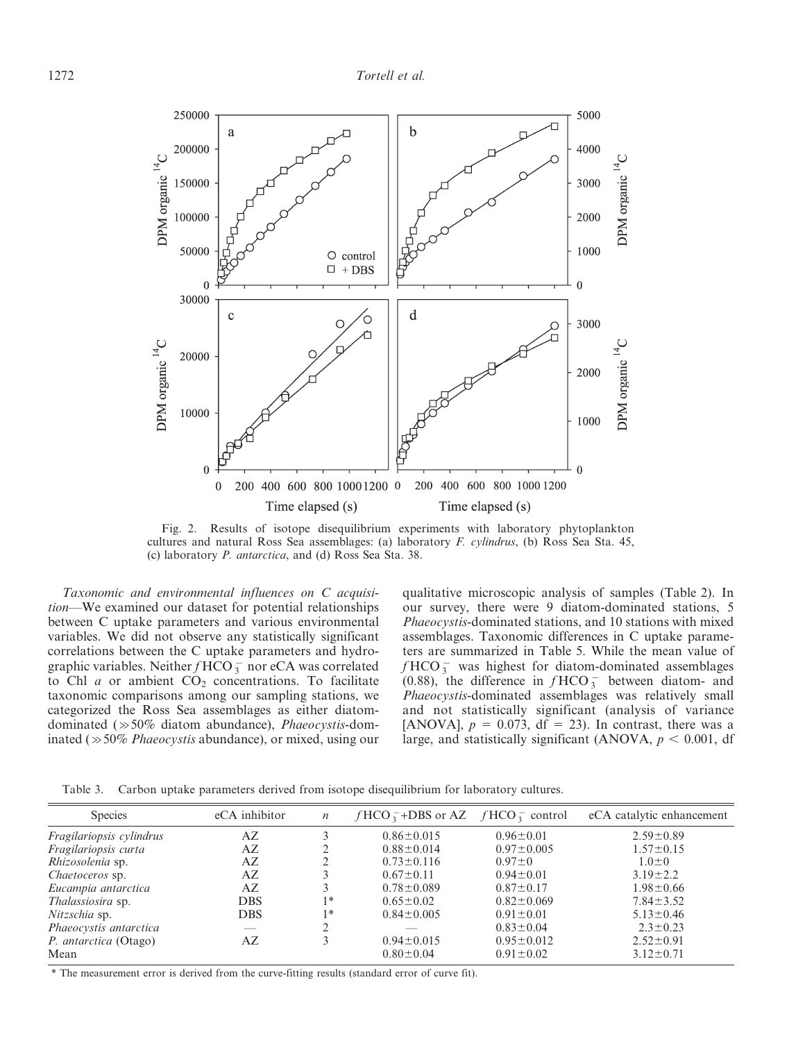

Fig. 2. Results of isotope disequilibrium experiments with laboratory phytoplankton cultures and natural Ross Sea assemblages: (a) laboratory F. cylindrus, (b) Ross Sea Sta. 45, (c) laboratory P. antarctica, and (d) Ross Sea Sta. 38.

Taxonomic and environmental influences on C acquisition—We examined our dataset for potential relationships between C uptake parameters and various environmental variables. We did not observe any statistically significant correlations between the C uptake parameters and hydrographic variables. Neither  $f$  HCO  $_3^-$  nor eCA was correlated to Chl  $a$  or ambient  $CO<sub>2</sub>$  concentrations. To facilitate taxonomic comparisons among our sampling stations, we categorized the Ross Sea assemblages as either diatomdominated  $(\gg 50\%$  diatom abundance), *Phaeocystis*-dominated ( $\gg$ 50% *Phaeocystis* abundance), or mixed, using our qualitative microscopic analysis of samples (Table 2). In our survey, there were 9 diatom-dominated stations, 5 Phaeocystis-dominated stations, and 10 stations with mixed assemblages. Taxonomic differences in C uptake parameters are summarized in Table 5. While the mean value of  $f$ HCO $_3^-$  was highest for diatom-dominated assemblages (0.88), the difference in  $f HCO_3^-$  between diatom- and Phaeocystis-dominated assemblages was relatively small and not statistically significant (analysis of variance [ANOVA],  $p = 0.073$ , df = 23). In contrast, there was a large, and statistically significant (ANOVA,  $p < 0.001$ , df

Table 3. Carbon uptake parameters derived from isotope disequilibrium for laboratory cultures.

| <b>Species</b>           | eCA inhibitor | $\boldsymbol{n}$ | $fHCO_3^-$ +DBS or AZ $fHCO_3^-$ control |                  | eCA catalytic enhancement |
|--------------------------|---------------|------------------|------------------------------------------|------------------|---------------------------|
| Fragilariopsis cylindrus | AZ            |                  | $0.86 \pm 0.015$                         | $0.96 \pm 0.01$  | $2.59 \pm 0.89$           |
| Fragilariopsis curta     | AZ            | ∍                | $0.88 \pm 0.014$                         | $0.97 \pm 0.005$ | $1.57 \pm 0.15$           |
| Rhizosolenia sp.         | AZ            |                  | $0.73 \pm 0.116$                         | $0.97 \pm 0$     | $1.0 \pm 0$               |
| <i>Chaetoceros</i> sp.   | AZ            | 3                | $0.67 \pm 0.11$                          | $0.94 \pm 0.01$  | $3.19 \pm 2.2$            |
| Eucampia antarctica      | AZ            | 3                | $0.78 \pm 0.089$                         | $0.87 \pm 0.17$  | $1.98 \pm 0.66$           |
| Thalassiosira sp.        | <b>DBS</b>    | 1*               | $0.65 \pm 0.02$                          | $0.82 \pm 0.069$ | $7.84 \pm 3.52$           |
| Nitzschia sp.            | <b>DBS</b>    | 1∗               | $0.84 \pm 0.005$                         | $0.91 \pm 0.01$  | $5.13 \pm 0.46$           |
| Phaeocystis antarctica   | $-$           |                  |                                          | $0.83 \pm 0.04$  | $2.3 \pm 0.23$            |
| P. antarctica (Otago)    | AZ            | 3                | $0.94 \pm 0.015$                         | $0.95 \pm 0.012$ | $2.52 \pm 0.91$           |
| Mean                     |               |                  | $0.80 \pm 0.04$                          | $0.91 \pm 0.02$  | $3.12 \pm 0.71$           |
|                          |               |                  |                                          |                  |                           |

\* The measurement error is derived from the curve-fitting results (standard error of curve fit).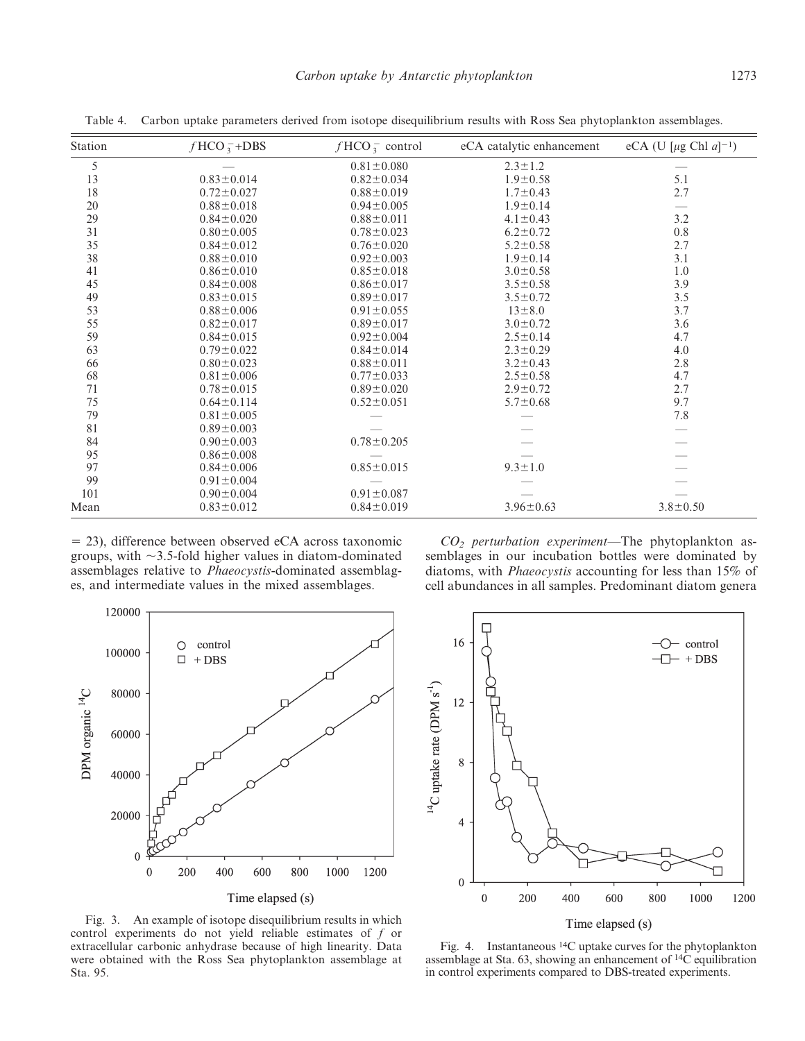| Station | $fHCO_3^-+DBS$   | $fHCO_3^-$ control | eCA catalytic enhancement | eCA (U [ $\mu$ g Chl $a$ ] <sup>-1</sup> ) |
|---------|------------------|--------------------|---------------------------|--------------------------------------------|
| 5       |                  | $0.81 \pm 0.080$   | $2.3 \pm 1.2$             |                                            |
| 13      | $0.83 \pm 0.014$ | $0.82 \pm 0.034$   | $1.9 \pm 0.58$            | 5.1                                        |
| 18      | $0.72 \pm 0.027$ | $0.88 \pm 0.019$   | $1.7 \pm 0.43$            | 2.7                                        |
| 20      | $0.88 \pm 0.018$ | $0.94 \pm 0.005$   | $1.9 \pm 0.14$            |                                            |
| 29      | $0.84 \pm 0.020$ | $0.88 \pm 0.011$   | $4.1 \pm 0.43$            | 3.2                                        |
| 31      | $0.80 \pm 0.005$ | $0.78 \pm 0.023$   | $6.2 \pm 0.72$            | $0.8\,$                                    |
| 35      | $0.84 \pm 0.012$ | $0.76 \pm 0.020$   | $5.2 \pm 0.58$            | 2.7                                        |
| 38      | $0.88 \pm 0.010$ | $0.92 \pm 0.003$   | $1.9 \pm 0.14$            | 3.1                                        |
| 41      | $0.86 \pm 0.010$ | $0.85 \pm 0.018$   | $3.0 \pm 0.58$            | 1.0                                        |
| 45      | $0.84 \pm 0.008$ | $0.86 \pm 0.017$   | $3.5 \pm 0.58$            | 3.9                                        |
| 49      | $0.83 \pm 0.015$ | $0.89 \pm 0.017$   | $3.5 \pm 0.72$            | 3.5                                        |
| 53      | $0.88 \pm 0.006$ | $0.91 \pm 0.055$   | $13 \pm 8.0$              | 3.7                                        |
| 55      | $0.82 \pm 0.017$ | $0.89 \pm 0.017$   | $3.0 \pm 0.72$            | 3.6                                        |
| 59      | $0.84 \pm 0.015$ | $0.92 \pm 0.004$   | $2.5 \pm 0.14$            | 4.7                                        |
| 63      | $0.79 \pm 0.022$ | $0.84 \pm 0.014$   | $2.3 \pm 0.29$            | 4.0                                        |
| 66      | $0.80 \pm 0.023$ | $0.88 \pm 0.011$   | $3.2 \pm 0.43$            | 2.8                                        |
| 68      | $0.81 \pm 0.006$ | $0.77 \pm 0.033$   | $2.5 \pm 0.58$            | 4.7                                        |
| 71      | $0.78 \pm 0.015$ | $0.89 \pm 0.020$   | $2.9 \pm 0.72$            | 2.7                                        |
| 75      | $0.64 \pm 0.114$ | $0.52 \pm 0.051$   | $5.7 \pm 0.68$            | 9.7                                        |
| 79      | $0.81 \pm 0.005$ |                    |                           | 7.8                                        |
| 81      | $0.89 \pm 0.003$ |                    |                           |                                            |
| 84      | $0.90 \pm 0.003$ | $0.78 \pm 0.205$   |                           |                                            |
| 95      | $0.86 \pm 0.008$ |                    |                           |                                            |
| 97      | $0.84 \pm 0.006$ | $0.85 \pm 0.015$   | $9.3 \pm 1.0$             |                                            |
| 99      | $0.91 \pm 0.004$ |                    |                           |                                            |
| 101     | $0.90 \pm 0.004$ | $0.91 \pm 0.087$   |                           |                                            |
| Mean    | $0.83 \pm 0.012$ | $0.84 \pm 0.019$   | $3.96 \pm 0.63$           | $3.8 \pm 0.50$                             |

Table 4. Carbon uptake parameters derived from isotope disequilibrium results with Ross Sea phytoplankton assemblages.

5 23), difference between observed eCA across taxonomic groups, with  $\sim$ 3.5-fold higher values in diatom-dominated assemblages relative to Phaeocystis-dominated assemblages, and intermediate values in the mixed assemblages.

 $CO<sub>2</sub>$  perturbation experiment—The phytoplankton assemblages in our incubation bottles were dominated by diatoms, with Phaeocystis accounting for less than 15% of cell abundances in all samples. Predominant diatom genera



16  $\circ$  control  $\Box$  + DBS  $^{14}$ C uptake rate (DPM s<sup>-1</sup>) 12 8  $\overline{4}$  $\overline{0}$  $\mathbf{0}$ 200 400 600 800 1200 1000

Time elapsed (s)

Fig. 3. An example of isotope disequilibrium results in which control experiments do not yield reliable estimates of f or extracellular carbonic anhydrase because of high linearity. Data were obtained with the Ross Sea phytoplankton assemblage at Sta. 95.

Fig. 4. Instantaneous 14C uptake curves for the phytoplankton assemblage at Sta. 63, showing an enhancement of 14C equilibration in control experiments compared to DBS-treated experiments.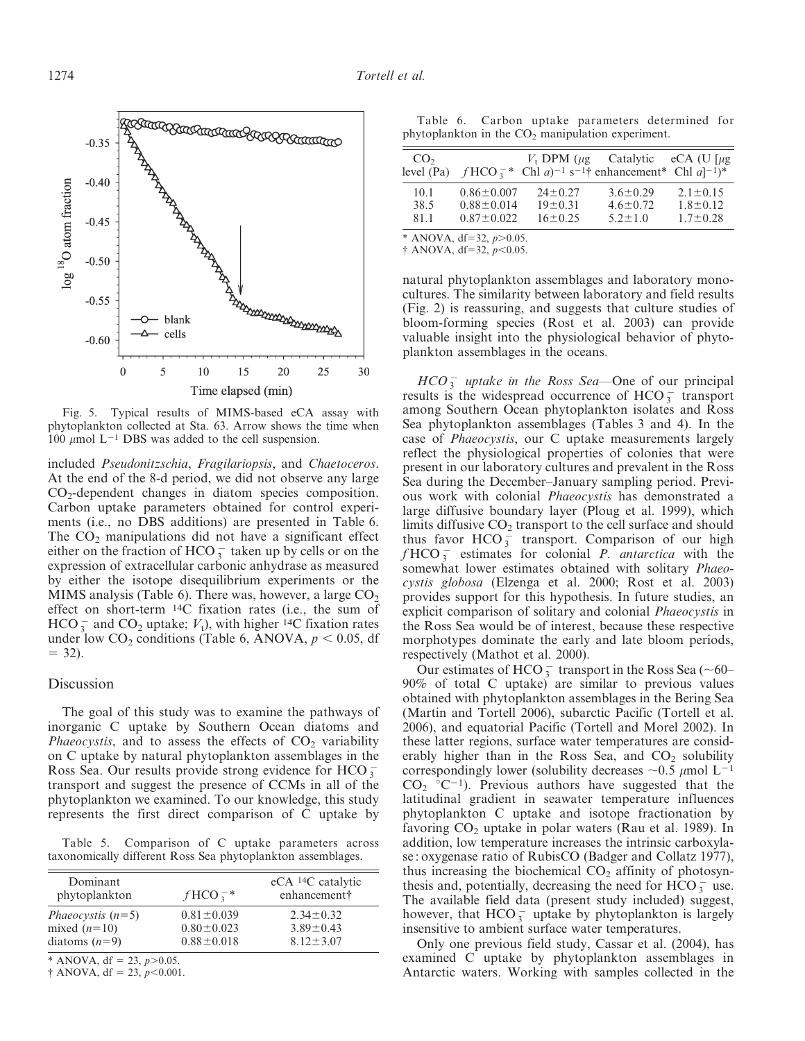

Fig. 5. Typical results of MIMS-based eCA assay with phytoplankton collected at Sta. 63. Arrow shows the time when 100  $\mu$ mol L<sup>-1</sup> DBS was added to the cell suspension.

included Pseudonitzschia, Fragilariopsis, and Chaetoceros. At the end of the 8-d period, we did not observe any large CO2-dependent changes in diatom species composition. Carbon uptake parameters obtained for control experiments (i.e., no DBS additions) are presented in Table 6. The  $CO<sub>2</sub>$  manipulations did not have a significant effect either on the fraction of  $HCO_3^-$  taken up by cells or on the expression of extracellular carbonic anhydrase as measured by either the isotope disequilibrium experiments or the MIMS analysis (Table 6). There was, however, a large  $CO<sub>2</sub>$ effect on short-term 14C fixation rates (i.e., the sum of HCO  $_{3}^{-}$  and CO<sub>2</sub> uptake;  $V_{t}$ ), with higher <sup>14</sup>C fixation rates under low  $CO_2$  conditions (Table 6, ANOVA,  $p < 0.05$ , df  $= 32$ ).

#### Discussion

The goal of this study was to examine the pathways of inorganic C uptake by Southern Ocean diatoms and *Phaeocystis*, and to assess the effects of  $CO<sub>2</sub>$  variability on C uptake by natural phytoplankton assemblages in the Ross Sea. Our results provide strong evidence for HCO $_3^$ transport and suggest the presence of CCMs in all of the phytoplankton we examined. To our knowledge, this study represents the first direct comparison of C uptake by

Table 5. Comparison of C uptake parameters across taxonomically different Ross Sea phytoplankton assemblages.

| Dominant<br>phytoplankton  | $fHCO^{-*}$      | $eCA$ <sup>14</sup> C catalytic<br>enhancement† |
|----------------------------|------------------|-------------------------------------------------|
| <i>Phaeocystis</i> $(n=5)$ | $0.81 \pm 0.039$ | $2.34 \pm 0.32$                                 |
| mixed $(n=10)$             | $0.80 \pm 0.023$ | $3.89 \pm 0.43$                                 |
| diatoms $(n=9)$            | $0.88 \pm 0.018$ | $8.12 \pm 3.07$                                 |

\* ANOVA, df = 23,  $p > 0.05$ .

 $\dagger$  ANOVA, df = 23,  $p<0.001$ .

Table 6. Carbon uptake parameters determined for phytoplankton in the  $CO<sub>2</sub>$  manipulation experiment.

| CO <sub>2</sub>      |                                                          |                                                 | $V_t$ DPM ( $\mu$ g Catalytic eCA (U [ $\mu$ g<br>level (Pa) $fHCO_3^{-*}$ Chl a) <sup>-1</sup> s <sup>-1</sup> † enhancement <sup>*</sup> Chl a] <sup>-1</sup> ) <sup>*</sup> |                                                    |
|----------------------|----------------------------------------------------------|-------------------------------------------------|--------------------------------------------------------------------------------------------------------------------------------------------------------------------------------|----------------------------------------------------|
| 10.1<br>38.5<br>81.1 | $0.86 \pm 0.007$<br>$0.88 \pm 0.014$<br>$0.87 \pm 0.022$ | $24 \pm 0.27$<br>$19 \pm 0.31$<br>$16 \pm 0.25$ | $3.6 \pm 0.29$<br>$4.6 \pm 0.72$<br>$5.2 + 1.0$                                                                                                                                | $2.1 \pm 0.15$<br>$1.8 \pm 0.12$<br>$1.7 \pm 0.28$ |
|                      | * ANOVA, df=32, $p > 0.05$ .                             |                                                 |                                                                                                                                                                                |                                                    |

 $\dagger$  ANOVA, df=32,  $p<0.05$ .

natural phytoplankton assemblages and laboratory monocultures. The similarity between laboratory and field results (Fig. 2) is reassuring, and suggests that culture studies of bloom-forming species (Rost et al. 2003) can provide valuable insight into the physiological behavior of phytoplankton assemblages in the oceans.

 $HCO_3^-$  uptake in the Ross Sea-One of our principal results is the widespread occurrence of  $HCO_3^-$  transport among Southern Ocean phytoplankton isolates and Ross Sea phytoplankton assemblages (Tables 3 and 4). In the case of Phaeocystis, our C uptake measurements largely reflect the physiological properties of colonies that were present in our laboratory cultures and prevalent in the Ross Sea during the December–January sampling period. Previous work with colonial Phaeocystis has demonstrated a large diffusive boundary layer (Ploug et al. 1999), which limits diffusive  $CO<sub>2</sub>$  transport to the cell surface and should thus favor  $HCO_3^2$  transport. Comparison of our high  $f HCO_3^-$  estimates for colonial P. antarctica with the somewhat lower estimates obtained with solitary Phaeocystis globosa (Elzenga et al. 2000; Rost et al. 2003) provides support for this hypothesis. In future studies, an explicit comparison of solitary and colonial *Phaeocystis* in the Ross Sea would be of interest, because these respective morphotypes dominate the early and late bloom periods, respectively (Mathot et al. 2000).

Our estimates of HCO  $_3^-$  transport in the Ross Sea (~60– 90% of total C uptake) are similar to previous values obtained with phytoplankton assemblages in the Bering Sea (Martin and Tortell 2006), subarctic Pacific (Tortell et al. 2006), and equatorial Pacific (Tortell and Morel 2002). In these latter regions, surface water temperatures are considerably higher than in the Ross Sea, and  $CO<sub>2</sub>$  solubility correspondingly lower (solubility decreases  $\sim 0.5 \ \mu$ mol L<sup>-1</sup>  $CO<sub>2</sub> °C<sup>-1</sup>$ . Previous authors have suggested that the latitudinal gradient in seawater temperature influences phytoplankton C uptake and isotope fractionation by favoring  $CO<sub>2</sub>$  uptake in polar waters (Rau et al. 1989). In addition, low temperature increases the intrinsic carboxylase : oxygenase ratio of RubisCO (Badger and Collatz 1977), thus increasing the biochemical  $CO<sub>2</sub>$  affinity of photosynthesis and, potentially, decreasing the need for  $\text{HCO}_3^-$  use. The available field data (present study included) suggest, however, that  $HCO_3^-$  uptake by phytoplankton is largely insensitive to ambient surface water temperatures.

Only one previous field study, Cassar et al. (2004), has examined C uptake by phytoplankton assemblages in Antarctic waters. Working with samples collected in the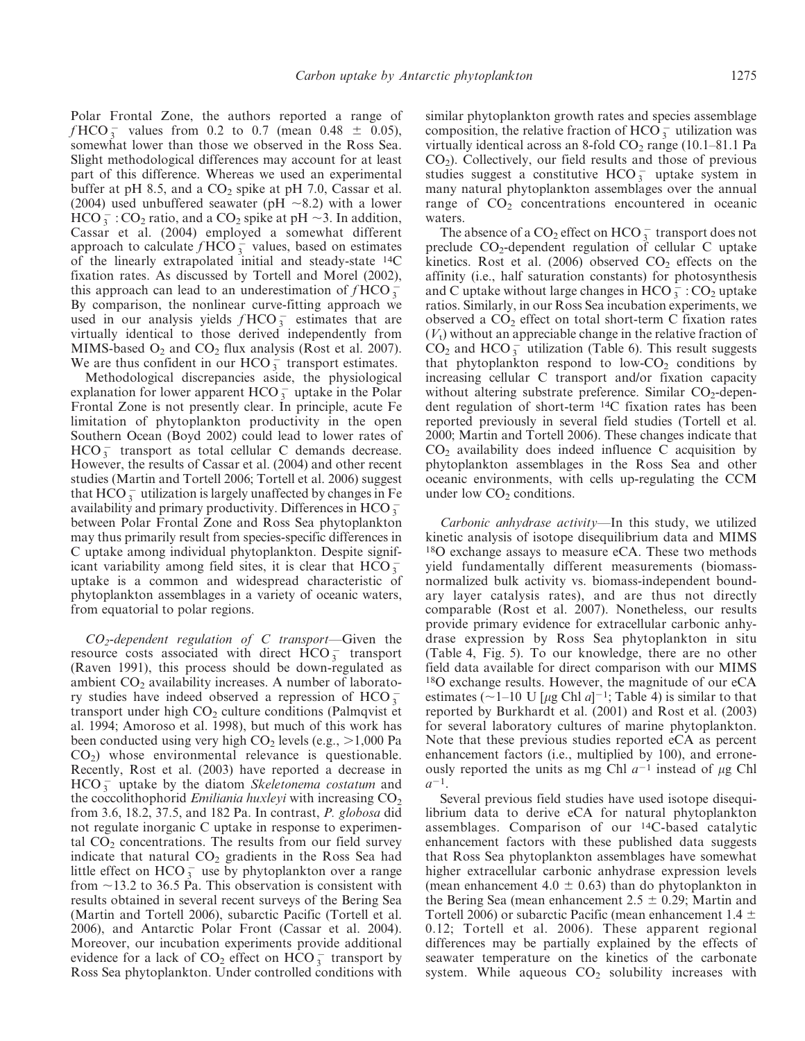Polar Frontal Zone, the authors reported a range of  $f HCO_3^-$  values from 0.2 to 0.7 (mean 0.48  $\pm$  0.05), somewhat lower than those we observed in the Ross Sea. Slight methodological differences may account for at least part of this difference. Whereas we used an experimental buffer at pH 8.5, and a  $CO<sub>2</sub>$  spike at pH 7.0, Cassar et al. (2004) used unbuffered seawater (pH  $\sim$ 8.2) with a lower  $\text{HCO}_3^-$ : CO<sub>2</sub> ratio, and a CO<sub>2</sub> spike at pH  $\sim$ 3. In addition, Cassar et al. (2004) employed a somewhat different approach to calculate  $f HCO_3^-$  values, based on estimates of the linearly extrapolated initial and steady-state 14C fixation rates. As discussed by Tortell and Morel (2002), this approach can lead to an underestimation of  $f HCO_3^2$ By comparison, the nonlinear curve-fitting approach we used in our analysis yields  $f HCO_3^-$  estimates that are virtually identical to those derived independently from MIMS-based  $O_2$  and  $CO_2$  flux analysis (Rost et al. 2007). We are thus confident in our HCO $\frac{2}{3}$  transport estimates.

Methodological discrepancies aside, the physiological explanation for lower apparent  $HCO_3^-$  uptake in the Polar Frontal Zone is not presently clear. In principle, acute Fe limitation of phytoplankton productivity in the open Southern Ocean (Boyd 2002) could lead to lower rates of  $HCO_3^-$  transport as total cellular C demands decrease. However, the results of Cassar et al. (2004) and other recent studies (Martin and Tortell 2006; Tortell et al. 2006) suggest that  $\text{HCO}_3^-$  utilization is largely unaffected by changes in Fe availability and primary productivity. Differences in HCO  $_3^$ between Polar Frontal Zone and Ross Sea phytoplankton may thus primarily result from species-specific differences in C uptake among individual phytoplankton. Despite significant variability among field sites, it is clear that  $HCO_3^$ uptake is a common and widespread characteristic of phytoplankton assemblages in a variety of oceanic waters, from equatorial to polar regions.

 $CO<sub>2</sub>$ -dependent regulation of C transport—Given the resource costs associated with direct  $\text{HCO}_3^-$  transport (Raven 1991), this process should be down-regulated as ambient  $CO<sub>2</sub>$  availability increases. A number of laboratory studies have indeed observed a repression of  $HCO_3^$ transport under high  $CO<sub>2</sub>$  culture conditions (Palmqvist et al. 1994; Amoroso et al. 1998), but much of this work has been conducted using very high  $CO<sub>2</sub>$  levels (e.g.,  $>1,000$  Pa  $CO<sub>2</sub>$ ) whose environmental relevance is questionable. Recently, Rost et al. (2003) have reported a decrease in  $HCO_3^-$  uptake by the diatom Skeletonema costatum and the coccolithophorid *Emiliania huxleyi* with increasing  $CO<sub>2</sub>$ from 3.6, 18.2, 37.5, and 182 Pa. In contrast, P. globosa did not regulate inorganic C uptake in response to experimental  $CO<sub>2</sub>$  concentrations. The results from our field survey indicate that natural  $CO<sub>2</sub>$  gradients in the Ross Sea had little effect on  $HCO_3^-$  use by phytoplankton over a range from  $\sim$ 13.2 to 36.5 Pa. This observation is consistent with results obtained in several recent surveys of the Bering Sea (Martin and Tortell 2006), subarctic Pacific (Tortell et al. 2006), and Antarctic Polar Front (Cassar et al. 2004). Moreover, our incubation experiments provide additional evidence for a lack of  $CO_2$  effect on  $HCO_3^-$  transport by Ross Sea phytoplankton. Under controlled conditions with

similar phytoplankton growth rates and species assemblage composition, the relative fraction of  $HCO_3^-$  utilization was virtually identical across an 8-fold  $CO<sub>2</sub>$  range (10.1–81.1 Pa  $CO<sub>2</sub>$ ). Collectively, our field results and those of previous studies suggest a constitutive  $HCO_3^-$  uptake system in many natural phytoplankton assemblages over the annual range of  $CO<sub>2</sub>$  concentrations encountered in oceanic waters.

The absence of a  $CO_2$  effect on  $HCO_3^-$  transport does not preclude  $CO_2$ -dependent regulation of cellular C uptake kinetics. Rost et al. (2006) observed  $CO<sub>2</sub>$  effects on the affinity (i.e., half saturation constants) for photosynthesis and C uptake without large changes in  $HCO_3^-$ : CO<sub>2</sub> uptake ratios. Similarly, in our Ross Sea incubation experiments, we observed a  $CO<sub>2</sub>$  effect on total short-term C fixation rates  $(V<sub>t</sub>)$  without an appreciable change in the relative fraction of  $\overrightarrow{CO_2}$  and HCO  $_3^-$  utilization (Table 6). This result suggests that phytoplankton respond to low- $CO<sub>2</sub>$  conditions by increasing cellular C transport and/or fixation capacity without altering substrate preference. Similar  $CO<sub>2</sub>$ -dependent regulation of short-term 14C fixation rates has been reported previously in several field studies (Tortell et al. 2000; Martin and Tortell 2006). These changes indicate that  $CO<sub>2</sub>$  availability does indeed influence C acquisition by phytoplankton assemblages in the Ross Sea and other oceanic environments, with cells up-regulating the CCM under low  $CO<sub>2</sub>$  conditions.

Carbonic anhydrase activity—In this study, we utilized kinetic analysis of isotope disequilibrium data and MIMS 18O exchange assays to measure eCA. These two methods yield fundamentally different measurements (biomassnormalized bulk activity vs. biomass-independent boundary layer catalysis rates), and are thus not directly comparable (Rost et al. 2007). Nonetheless, our results provide primary evidence for extracellular carbonic anhydrase expression by Ross Sea phytoplankton in situ (Table 4, Fig. 5). To our knowledge, there are no other field data available for direct comparison with our MIMS 18O exchange results. However, the magnitude of our eCA estimates ( $\sim$ 1–10 U [ $\mu$ g Chl a]<sup>-1</sup>; Table 4) is similar to that reported by Burkhardt et al. (2001) and Rost et al. (2003) for several laboratory cultures of marine phytoplankton. Note that these previous studies reported eCA as percent enhancement factors (i.e., multiplied by 100), and erroneously reported the units as mg Chl  $a^{-1}$  instead of  $\mu$ g Chl  $a^{-1}$ .

Several previous field studies have used isotope disequilibrium data to derive eCA for natural phytoplankton assemblages. Comparison of our 14C-based catalytic enhancement factors with these published data suggests that Ross Sea phytoplankton assemblages have somewhat higher extracellular carbonic anhydrase expression levels (mean enhancement 4.0  $\pm$  0.63) than do phytoplankton in the Bering Sea (mean enhancement  $2.5 \pm 0.29$ ; Martin and Tortell 2006) or subarctic Pacific (mean enhancement 1.4  $\pm$ 0.12; Tortell et al. 2006). These apparent regional differences may be partially explained by the effects of seawater temperature on the kinetics of the carbonate system. While aqueous  $CO<sub>2</sub>$  solubility increases with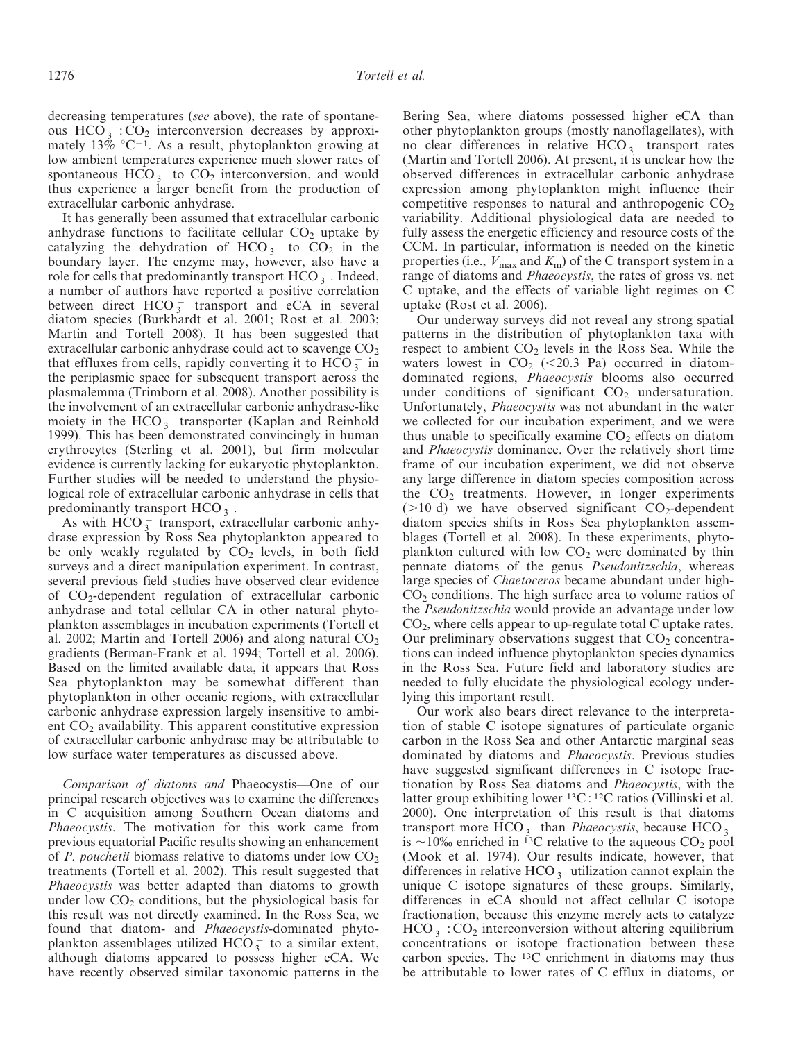decreasing temperatures (see above), the rate of spontaneous  $HCO_3^-$ :  $CO_2$  interconversion decreases by approximately  $13\%$  °C<sup>-1</sup>. As a result, phytoplankton growing at low ambient temperatures experience much slower rates of spontaneous  $HCO_3^-$  to  $CO_2^-$  interconversion, and would thus experience a larger benefit from the production of extracellular carbonic anhydrase.

It has generally been assumed that extracellular carbonic anhydrase functions to facilitate cellular  $CO<sub>2</sub>$  uptake by catalyzing the dehydration of  $HCO_3^-$  to  $CO_2^+$  in the boundary layer. The enzyme may, however, also have a role for cells that predominantly transport  $HCO_3^-$ . Indeed, a number of authors have reported a positive correlation between direct  $HCO_3^-$  transport and eCA in several diatom species (Burkhardt et al. 2001; Rost et al. 2003; Martin and Tortell 2008). It has been suggested that extracellular carbonic anhydrase could act to scavenge  $CO<sub>2</sub>$ that effluxes from cells, rapidly converting it to  $\text{HCO}_3^-$  in the periplasmic space for subsequent transport across the plasmalemma (Trimborn et al. 2008). Another possibility is the involvement of an extracellular carbonic anhydrase-like moiety in the HCO $_3^-$  transporter (Kaplan and Reinhold 1999). This has been demonstrated convincingly in human erythrocytes (Sterling et al. 2001), but firm molecular evidence is currently lacking for eukaryotic phytoplankton. Further studies will be needed to understand the physiological role of extracellular carbonic anhydrase in cells that predominantly transport  $HCO_3^-$ .

As with  $\text{HCO}_3^-$  transport, extracellular carbonic anhydrase expression by Ross Sea phytoplankton appeared to be only weakly regulated by  $CO<sub>2</sub>$  levels, in both field surveys and a direct manipulation experiment. In contrast, several previous field studies have observed clear evidence of CO2-dependent regulation of extracellular carbonic anhydrase and total cellular CA in other natural phytoplankton assemblages in incubation experiments (Tortell et al. 2002; Martin and Tortell 2006) and along natural  $CO<sub>2</sub>$ gradients (Berman-Frank et al. 1994; Tortell et al. 2006). Based on the limited available data, it appears that Ross Sea phytoplankton may be somewhat different than phytoplankton in other oceanic regions, with extracellular carbonic anhydrase expression largely insensitive to ambient  $CO<sub>2</sub>$  availability. This apparent constitutive expression of extracellular carbonic anhydrase may be attributable to low surface water temperatures as discussed above.

Comparison of diatoms and Phaeocystis—One of our principal research objectives was to examine the differences in C acquisition among Southern Ocean diatoms and *Phaeocystis*. The motivation for this work came from previous equatorial Pacific results showing an enhancement of P. pouchetii biomass relative to diatoms under low  $CO<sub>2</sub>$ treatments (Tortell et al. 2002). This result suggested that Phaeocystis was better adapted than diatoms to growth under low  $CO<sub>2</sub>$  conditions, but the physiological basis for this result was not directly examined. In the Ross Sea, we found that diatom- and Phaeocystis-dominated phytoplankton assemblages utilized  $HCO_3^-$  to a similar extent, although diatoms appeared to possess higher eCA. We have recently observed similar taxonomic patterns in the Bering Sea, where diatoms possessed higher eCA than other phytoplankton groups (mostly nanoflagellates), with no clear differences in relative  $HCO_3^-$  transport rates (Martin and Tortell 2006). At present, it is unclear how the observed differences in extracellular carbonic anhydrase expression among phytoplankton might influence their competitive responses to natural and anthropogenic  $CO<sub>2</sub>$ variability. Additional physiological data are needed to fully assess the energetic efficiency and resource costs of the CCM. In particular, information is needed on the kinetic properties (i.e.,  $V_{\text{max}}$  and  $K_{\text{m}}$ ) of the C transport system in a range of diatoms and *Phaeocystis*, the rates of gross vs. net C uptake, and the effects of variable light regimes on C uptake (Rost et al. 2006).

Our underway surveys did not reveal any strong spatial patterns in the distribution of phytoplankton taxa with respect to ambient  $CO<sub>2</sub>$  levels in the Ross Sea. While the waters lowest in  $CO<sub>2</sub>$  (<20.3 Pa) occurred in diatomdominated regions, *Phaeocystis* blooms also occurred under conditions of significant  $CO<sub>2</sub>$  undersaturation. Unfortunately, Phaeocystis was not abundant in the water we collected for our incubation experiment, and we were thus unable to specifically examine  $CO<sub>2</sub>$  effects on diatom and Phaeocystis dominance. Over the relatively short time frame of our incubation experiment, we did not observe any large difference in diatom species composition across the  $CO<sub>2</sub>$  treatments. However, in longer experiments ( $>10$  d) we have observed significant  $CO<sub>2</sub>$ -dependent diatom species shifts in Ross Sea phytoplankton assemblages (Tortell et al. 2008). In these experiments, phytoplankton cultured with low  $CO<sub>2</sub>$  were dominated by thin pennate diatoms of the genus Pseudonitzschia, whereas large species of Chaetoceros became abundant under high- $CO<sub>2</sub>$  conditions. The high surface area to volume ratios of the Pseudonitzschia would provide an advantage under low  $CO<sub>2</sub>$ , where cells appear to up-regulate total C uptake rates. Our preliminary observations suggest that  $CO<sub>2</sub>$  concentrations can indeed influence phytoplankton species dynamics in the Ross Sea. Future field and laboratory studies are needed to fully elucidate the physiological ecology underlying this important result.

Our work also bears direct relevance to the interpretation of stable C isotope signatures of particulate organic carbon in the Ross Sea and other Antarctic marginal seas dominated by diatoms and Phaeocystis. Previous studies have suggested significant differences in C isotope fractionation by Ross Sea diatoms and Phaeocystis, with the latter group exhibiting lower 13C : 12C ratios (Villinski et al. 2000). One interpretation of this result is that diatoms transport more  $\text{HCO}_3^-$  than *Phaeocystis*, because  $\text{HCO}_3^$ is  $\sim$ 10\% enriched in <sup>13</sup>C relative to the aqueous CO<sub>2</sub> pool (Mook et al. 1974). Our results indicate, however, that differences in relative HCO  $_3^-$  utilization cannot explain the unique C isotope signatures of these groups. Similarly, differences in eCA should not affect cellular C isotope fractionation, because this enzyme merely acts to catalyze  $HCO_3^-$ :  $CO_2$  interconversion without altering equilibrium concentrations or isotope fractionation between these carbon species. The 13C enrichment in diatoms may thus be attributable to lower rates of C efflux in diatoms, or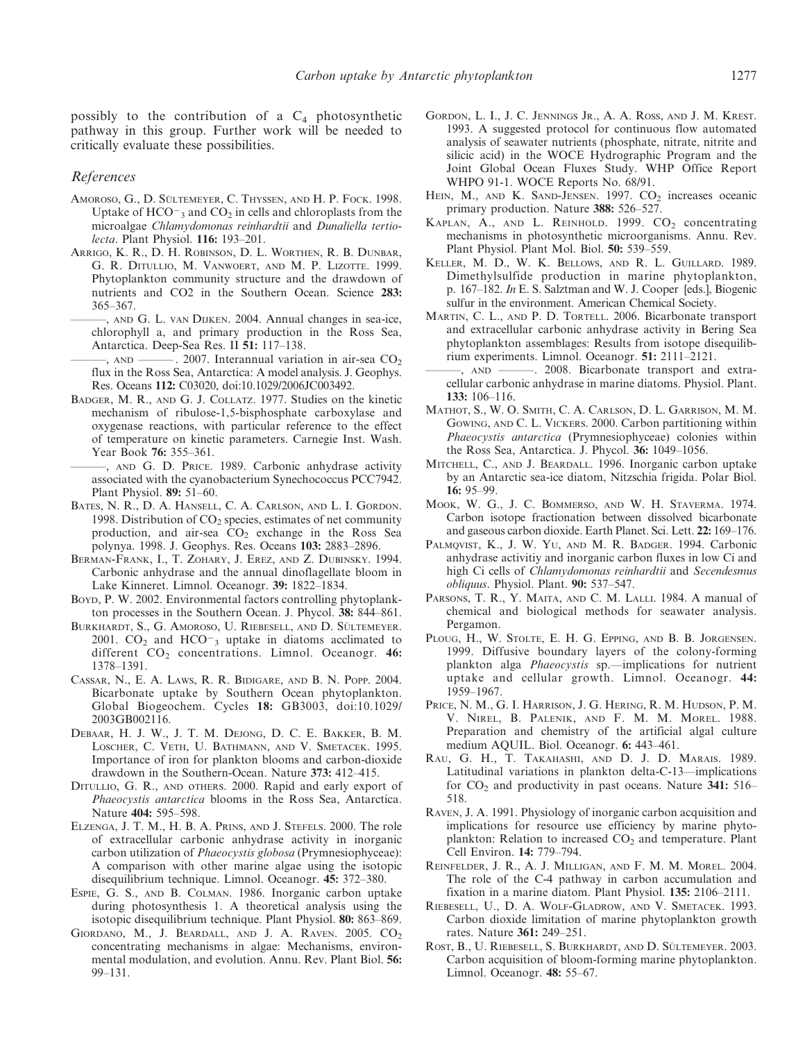possibly to the contribution of a  $C_4$  photosynthetic pathway in this group. Further work will be needed to critically evaluate these possibilities.

#### References

- AMOROSO, G., D. SÜLTEMEYER, C. THYSSEN, AND H. P. FOCK. 1998. Uptake of  $HCO<sub>3</sub>$  and  $CO<sub>2</sub>$  in cells and chloroplasts from the microalgae Chlamydomonas reinhardtii and Dunaliella tertiolecta. Plant Physiol. 116: 193–201.
- ARRIGO, K. R., D. H. ROBINSON, D. L. WORTHEN, R. B. DUNBAR, G. R. DITULLIO, M. VANWOERT, AND M. P. LIZOTTE. 1999. Phytoplankton community structure and the drawdown of nutrients and CO2 in the Southern Ocean. Science 283: 365–367.
	- ———, AND G. L. VAN DIJKEN. 2004. Annual changes in sea-ice, chlorophyll a, and primary production in the Ross Sea, Antarctica. Deep-Sea Res. II 51: 117–138.
	- $\epsilon$ , AND ———, 2007. Interannual variation in air-sea CO<sub>2</sub> flux in the Ross Sea, Antarctica: A model analysis. J. Geophys. Res. Oceans 112: C03020, doi:10.1029/2006JC003492.
- BADGER, M. R., AND G. J. COLLATZ. 1977. Studies on the kinetic mechanism of ribulose-1,5-bisphosphate carboxylase and oxygenase reactions, with particular reference to the effect of temperature on kinetic parameters. Carnegie Inst. Wash. Year Book 76: 355–361.
	- ———, AND G. D. PRICE. 1989. Carbonic anhydrase activity associated with the cyanobacterium Synechococcus PCC7942. Plant Physiol. 89: 51–60.
- BATES, N. R., D. A. HANSELL, C. A. CARLSON, AND L. I. GORDON. 1998. Distribution of  $CO<sub>2</sub>$  species, estimates of net community production, and air-sea  $CO<sub>2</sub>$  exchange in the Ross Sea polynya. 1998. J. Geophys. Res. Oceans 103: 2883–2896.
- BERMAN-FRANK, I., T. ZOHARY, J. EREZ, AND Z. DUBINSKY. 1994. Carbonic anhydrase and the annual dinoflagellate bloom in Lake Kinneret. Limnol. Oceanogr. 39: 1822–1834.
- BOYD, P. W. 2002. Environmental factors controlling phytoplankton processes in the Southern Ocean. J. Phycol. 38: 844–861.
- BURKHARDT, S., G. AMOROSO, U. RIEBESELL, AND D. SÜLTEMEYER. 2001.  $CO<sub>2</sub>$  and  $HCO<sub>-3</sub>$  uptake in diatoms acclimated to different  $CO<sub>2</sub>$  concentrations. Limnol. Oceanogr. 46: 1378–1391.
- CASSAR, N., E. A. LAWS, R. R. BIDIGARE, AND B. N. POPP. 2004. Bicarbonate uptake by Southern Ocean phytoplankton. Global Biogeochem. Cycles 18: GB3003, doi:10.1029/ 2003GB002116.
- DEBAAR, H. J. W., J. T. M. DEJONG, D. C. E. BAKKER, B. M. LOSCHER, C. VETH, U. BATHMANN, AND V. SMETACEK. 1995. Importance of iron for plankton blooms and carbon-dioxide drawdown in the Southern-Ocean. Nature 373: 412–415.
- DITULLIO, G. R., AND oTHERS. 2000. Rapid and early export of Phaeocystis antarctica blooms in the Ross Sea, Antarctica. Nature 404: 595–598.
- ELZENGA, J. T. M., H. B. A. PRINS, AND J. STEFELS. 2000. The role of extracellular carbonic anhydrase activity in inorganic carbon utilization of Phaeocystis globosa (Prymnesiophyceae): A comparison with other marine algae using the isotopic disequilibrium technique. Limnol. Oceanogr. 45: 372–380.
- ESPIE, G. S., AND B. COLMAN. 1986. Inorganic carbon uptake during photosynthesis 1. A theoretical analysis using the isotopic disequilibrium technique. Plant Physiol. 80: 863–869.
- GIORDANO, M., J. BEARDALL, AND J. A. RAVEN.  $2005$ .  $CO<sub>2</sub>$ concentrating mechanisms in algae: Mechanisms, environmental modulation, and evolution. Annu. Rev. Plant Biol. 56: 99–131.
- GORDON, L. I., J. C. JENNINGS JR., A. A. ROSS, AND J. M. KREST. 1993. A suggested protocol for continuous flow automated analysis of seawater nutrients (phosphate, nitrate, nitrite and silicic acid) in the WOCE Hydrographic Program and the Joint Global Ocean Fluxes Study. WHP Office Report WHPO 91-1. WOCE Reports No. 68/91.
- HEIN, M., AND K. SAND-JENSEN.  $1997$ .  $CO<sub>2</sub>$  increases oceanic primary production. Nature 388: 526–527.
- KAPLAN, A., AND L. REINHOLD. 1999.  $CO<sub>2</sub>$  concentrating mechanisms in photosynthetic microorganisms. Annu. Rev. Plant Physiol. Plant Mol. Biol. 50: 539–559.
- KELLER, M. D., W. K. BELLOWS, AND R. L. GUILLARD. 1989. Dimethylsulfide production in marine phytoplankton, p. 167–182. In E. S. Salztman and W. J. Cooper [eds.], Biogenic sulfur in the environment. American Chemical Society.
- MARTIN, C. L., AND P. D. TORTELL. 2006. Bicarbonate transport and extracellular carbonic anhydrase activity in Bering Sea phytoplankton assemblages: Results from isotope disequilibrium experiments. Limnol. Oceanogr. 51: 2111–2121.
- ———, AND ———. 2008. Bicarbonate transport and extracellular carbonic anhydrase in marine diatoms. Physiol. Plant. 133: 106–116.
- MATHOT, S., W. O. SMITH, C. A. CARLSON, D. L. GARRISON, M. M. GOWING, AND C. L. VICKERS. 2000. Carbon partitioning within Phaeocystis antarctica (Prymnesiophyceae) colonies within the Ross Sea, Antarctica. J. Phycol. 36: 1049–1056.
- MITCHELL, C., AND J. BEARDALL. 1996. Inorganic carbon uptake by an Antarctic sea-ice diatom, Nitzschia frigida. Polar Biol. 16: 95–99.
- MOOK, W. G., J. C. BOMMERSO, AND W. H. STAVERMA. 1974. Carbon isotope fractionation between dissolved bicarbonate and gaseous carbon dioxide. Earth Planet. Sci. Lett. 22: 169–176.
- PALMQVIST, K., J. W. YU, AND M. R. BADGER. 1994. Carbonic anhydrase activitiy and inorganic carbon fluxes in low Ci and high Ci cells of Chlamydomonas reinhardtii and Secendesmus obliquus. Physiol. Plant. 90: 537–547.
- PARSONS, T. R., Y. MAITA, AND C. M. LALLI. 1984. A manual of chemical and biological methods for seawater analysis. Pergamon.
- PLOUG, H., W. STOLTE, E. H. G. EPPING, AND B. B. JORGENSEN. 1999. Diffusive boundary layers of the colony-forming plankton alga Phaeocystis sp.—implications for nutrient uptake and cellular growth. Limnol. Oceanogr. 44: 1959–1967.
- PRICE, N. M., G. I. HARRISON, J. G. HERING, R. M. HUDSON, P. M. V. NIREL, B. PALENIK, AND F. M. M. MOREL. 1988. Preparation and chemistry of the artificial algal culture medium AQUIL. Biol. Oceanogr. 6: 443–461.
- RAU, G. H., T. TAKAHASHI, AND D. J. D. MARAIS. 1989. Latitudinal variations in plankton delta-C-13—implications for  $CO<sub>2</sub>$  and productivity in past oceans. Nature 341: 516– 518.
- RAVEN, J. A. 1991. Physiology of inorganic carbon acquisition and implications for resource use efficiency by marine phytoplankton: Relation to increased  $CO<sub>2</sub>$  and temperature. Plant Cell Environ. 14: 779–794.
- REINFELDER, J. R., A. J. MILLIGAN, AND F. M. M. MOREL. 2004. The role of the C-4 pathway in carbon accumulation and fixation in a marine diatom. Plant Physiol. 135: 2106–2111.
- RIEBESELL, U., D. A. WOLF-GLADROW, AND V. SMETACEK. 1993. Carbon dioxide limitation of marine phytoplankton growth rates. Nature 361: 249–251.
- ROST, B., U. RIEBESELL, S. BURKHARDT, AND D. SÜLTEMEYER. 2003. Carbon acquisition of bloom-forming marine phytoplankton. Limnol. Oceanogr. 48: 55–67.